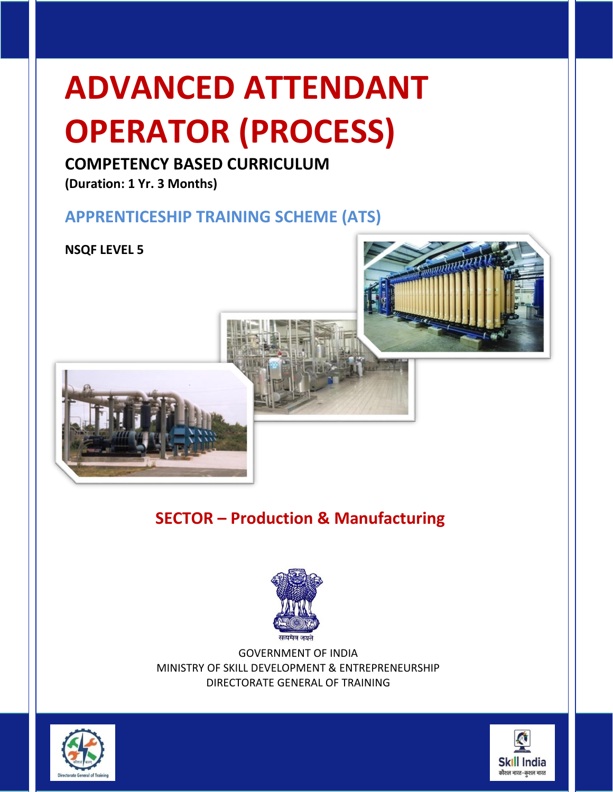# **ADVANCED ATTENDANT OPERATOR (PROCESS)**

## **COMPETENCY BASED CURRICULUM**

**(Duration: 1 Yr. 3 Months)**

## **APPRENTICESHIP TRAINING SCHEME (ATS)**

**NSQF LEVEL 5**





## **SECTOR – Production & Manufacturing**



GOVERNMENT OF INDIA MINISTRY OF SKILL DEVELOPMENT & ENTREPRENEURSHIP DIRECTORATE GENERAL OF TRAINING



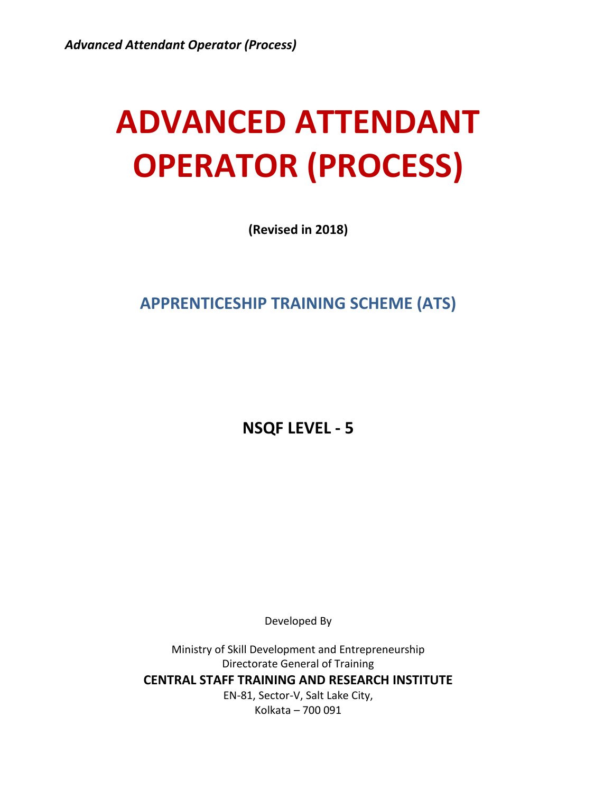## **ADVANCED ATTENDANT OPERATOR (PROCESS)**

**(Revised in 2018)**

**APPRENTICESHIP TRAINING SCHEME (ATS)**

**NSQF LEVEL - 5**

Developed By

Ministry of Skill Development and Entrepreneurship Directorate General of Training **CENTRAL STAFF TRAINING AND RESEARCH INSTITUTE** EN-81, Sector-V, Salt Lake City, Kolkata – 700 091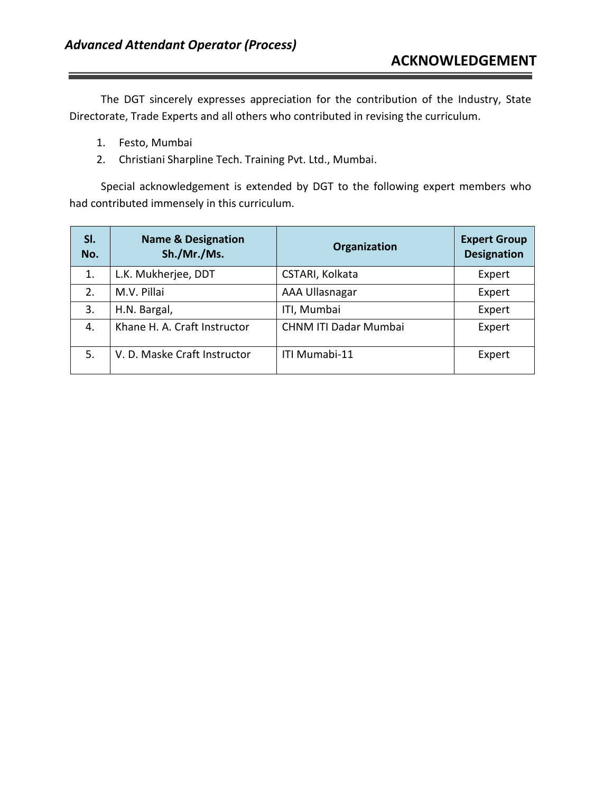The DGT sincerely expresses appreciation for the contribution of the Industry, State Directorate, Trade Experts and all others who contributed in revising the curriculum.

- 1. Festo, Mumbai
- 2. Christiani Sharpline Tech. Training Pvt. Ltd., Mumbai.

Special acknowledgement is extended by DGT to the following expert members who had contributed immensely in this curriculum.

| SI.<br>No. | <b>Name &amp; Designation</b><br>Sh./Mr./Ms. | Organization                 | <b>Expert Group</b><br><b>Designation</b> |
|------------|----------------------------------------------|------------------------------|-------------------------------------------|
| 1.         | L.K. Mukherjee, DDT                          | CSTARI, Kolkata              | Expert                                    |
| 2.         | M.V. Pillai                                  | AAA Ullasnagar               | Expert                                    |
| 3.         | H.N. Bargal,                                 | ITI, Mumbai                  | Expert                                    |
| 4.         | Khane H. A. Craft Instructor                 | <b>CHNM ITI Dadar Mumbai</b> | Expert                                    |
| 5.         | V. D. Maske Craft Instructor                 | ITI Mumabi-11                | Expert                                    |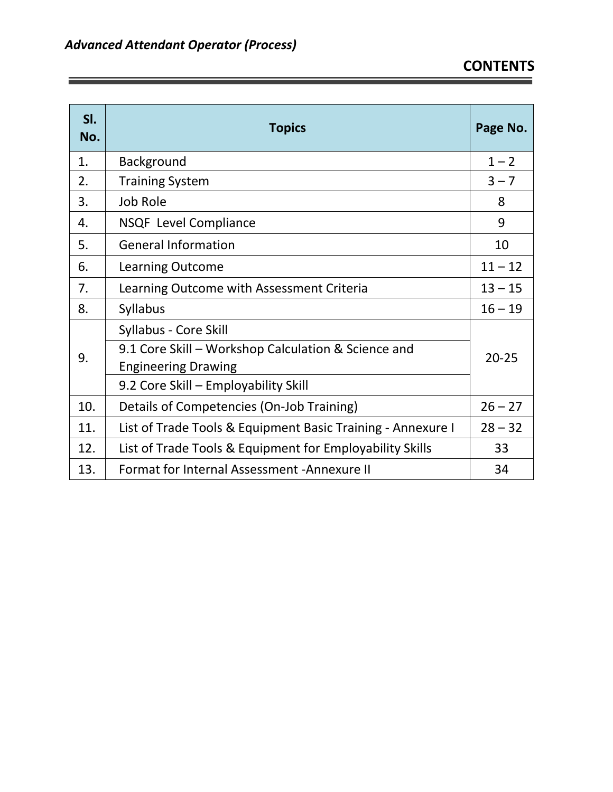<u> Andrew Maria (1989)</u><br>1900 - Carl Carl Born, amerikansk politik († 1900)

 $\sim$   $\sim$ 

| SI.<br>No. | <b>Topics</b>                                               | Page No.  |
|------------|-------------------------------------------------------------|-----------|
| 1.         | <b>Background</b>                                           | $1 - 2$   |
| 2.         | <b>Training System</b>                                      | $3 - 7$   |
| 3.         | Job Role                                                    | 8         |
| 4.         | <b>NSQF</b> Level Compliance                                | 9         |
| 5.         | <b>General Information</b>                                  | 10        |
| 6.         | <b>Learning Outcome</b>                                     | $11 - 12$ |
| 7.         | Learning Outcome with Assessment Criteria                   | $13 - 15$ |
| 8.         | <b>Syllabus</b>                                             | $16 - 19$ |
|            | Syllabus - Core Skill                                       |           |
| 9.         | 9.1 Core Skill - Workshop Calculation & Science and         |           |
|            | <b>Engineering Drawing</b>                                  |           |
|            | 9.2 Core Skill - Employability Skill                        |           |
| 10.        | Details of Competencies (On-Job Training)                   | $26 - 27$ |
| 11.        | List of Trade Tools & Equipment Basic Training - Annexure I | $28 - 32$ |
| 12.        | List of Trade Tools & Equipment for Employability Skills    | 33        |
| 13.        | Format for Internal Assessment - Annexure II                | 34        |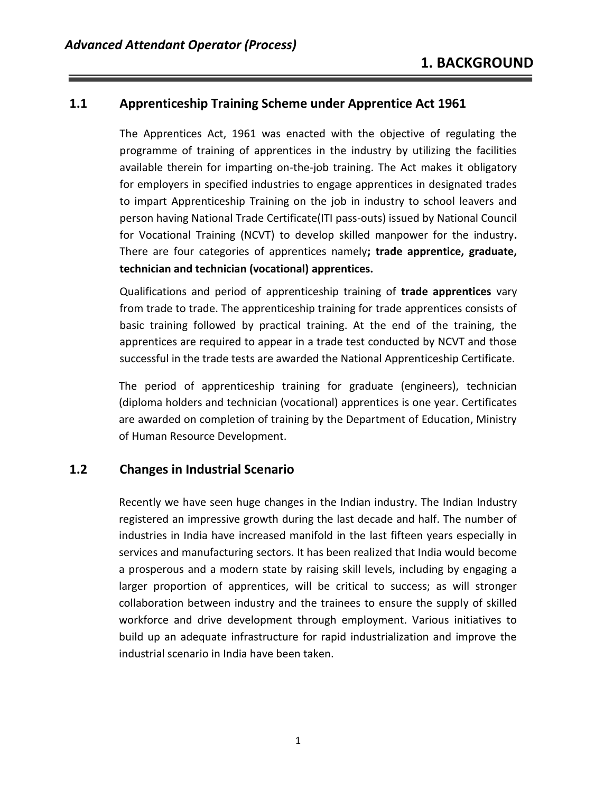#### **1.1 Apprenticeship Training Scheme under Apprentice Act 1961**

The Apprentices Act, 1961 was enacted with the objective of regulating the programme of training of apprentices in the industry by utilizing the facilities available therein for imparting on-the-job training. The Act makes it obligatory for employers in specified industries to engage apprentices in designated trades to impart Apprenticeship Training on the job in industry to school leavers and person having National Trade Certificate(ITI pass-outs) issued by National Council for Vocational Training (NCVT) to develop skilled manpower for the industry**.** There are four categories of apprentices namely**; trade apprentice, graduate, technician and technician (vocational) apprentices.** 

Qualifications and period of apprenticeship training of **trade apprentices** vary from trade to trade. The apprenticeship training for trade apprentices consists of basic training followed by practical training. At the end of the training, the apprentices are required to appear in a trade test conducted by NCVT and those successful in the trade tests are awarded the National Apprenticeship Certificate.

The period of apprenticeship training for graduate (engineers), technician (diploma holders and technician (vocational) apprentices is one year. Certificates are awarded on completion of training by the Department of Education, Ministry of Human Resource Development.

#### **1.2 Changes in Industrial Scenario**

Recently we have seen huge changes in the Indian industry. The Indian Industry registered an impressive growth during the last decade and half. The number of industries in India have increased manifold in the last fifteen years especially in services and manufacturing sectors. It has been realized that India would become a prosperous and a modern state by raising skill levels, including by engaging a larger proportion of apprentices, will be critical to success; as will stronger collaboration between industry and the trainees to ensure the supply of skilled workforce and drive development through employment. Various initiatives to build up an adequate infrastructure for rapid industrialization and improve the industrial scenario in India have been taken.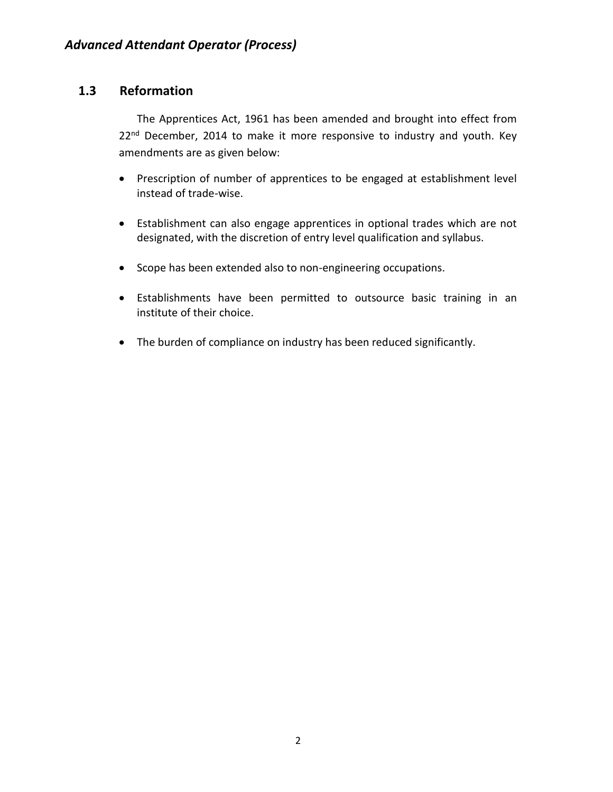#### **1.3 Reformation**

The Apprentices Act, 1961 has been amended and brought into effect from 22<sup>nd</sup> December, 2014 to make it more responsive to industry and youth. Key amendments are as given below:

- Prescription of number of apprentices to be engaged at establishment level instead of trade-wise.
- Establishment can also engage apprentices in optional trades which are not designated, with the discretion of entry level qualification and syllabus.
- Scope has been extended also to non-engineering occupations.
- Establishments have been permitted to outsource basic training in an institute of their choice.
- The burden of compliance on industry has been reduced significantly.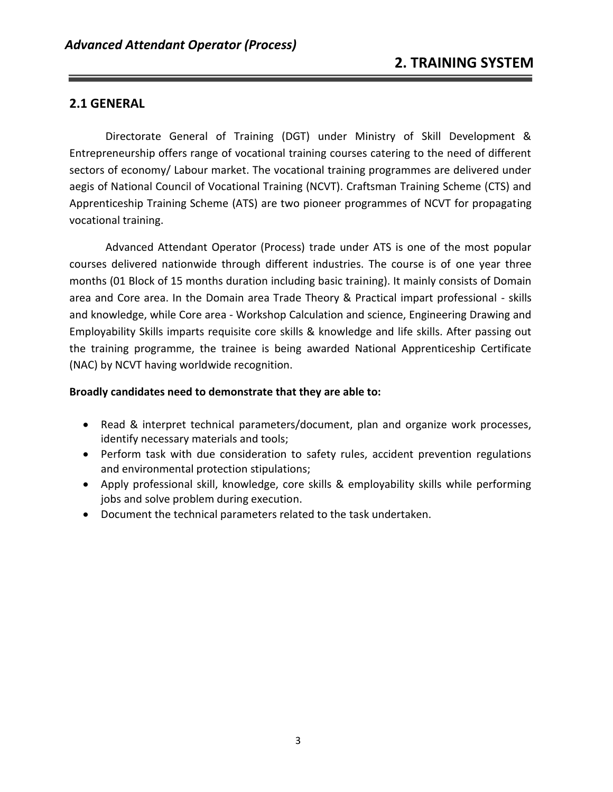#### **2.1 GENERAL**

Directorate General of Training (DGT) under Ministry of Skill Development & Entrepreneurship offers range of vocational training courses catering to the need of different sectors of economy/ Labour market. The vocational training programmes are delivered under aegis of National Council of Vocational Training (NCVT). Craftsman Training Scheme (CTS) and Apprenticeship Training Scheme (ATS) are two pioneer programmes of NCVT for propagating vocational training.

Advanced Attendant Operator (Process) trade under ATS is one of the most popular courses delivered nationwide through different industries. The course is of one year three months (01 Block of 15 months duration including basic training). It mainly consists of Domain area and Core area. In the Domain area Trade Theory & Practical impart professional - skills and knowledge, while Core area - Workshop Calculation and science, Engineering Drawing and Employability Skills imparts requisite core skills & knowledge and life skills. After passing out the training programme, the trainee is being awarded National Apprenticeship Certificate (NAC) by NCVT having worldwide recognition.

#### **Broadly candidates need to demonstrate that they are able to:**

- Read & interpret technical parameters/document, plan and organize work processes, identify necessary materials and tools;
- Perform task with due consideration to safety rules, accident prevention regulations and environmental protection stipulations;
- Apply professional skill, knowledge, core skills & employability skills while performing jobs and solve problem during execution.
- Document the technical parameters related to the task undertaken.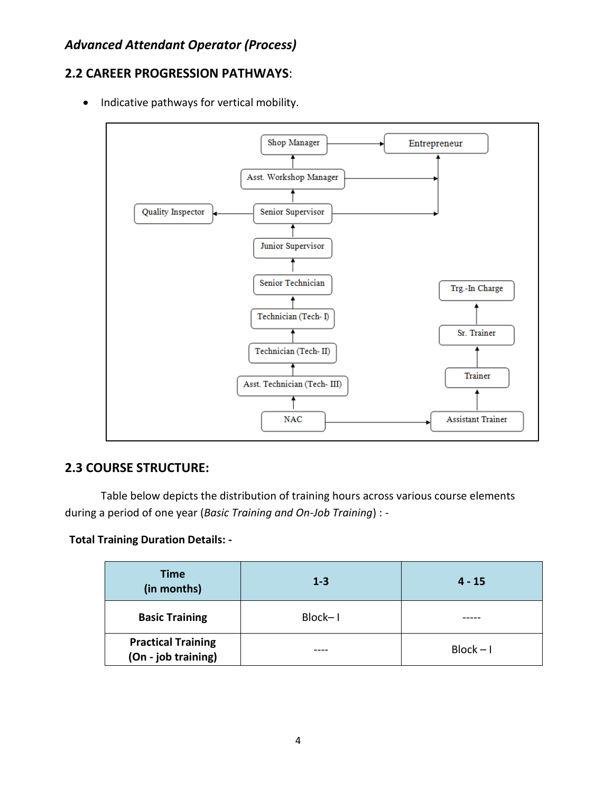#### **2.2 CAREER PROGRESSION PATHWAYS**:

• Indicative pathways for vertical mobility.



#### **2.3 COURSE STRUCTURE:**

Table below depicts the distribution of training hours across various course elements during a period of one year (*Basic Training and On-Job Training*) : -

**Total Training Duration Details: -**

| <b>Time</b><br>(in months)                       | $1 - 3$ | $4 - 15$    |
|--------------------------------------------------|---------|-------------|
| <b>Basic Training</b>                            | Block-I |             |
| <b>Practical Training</b><br>(On - job training) |         | $Block - I$ |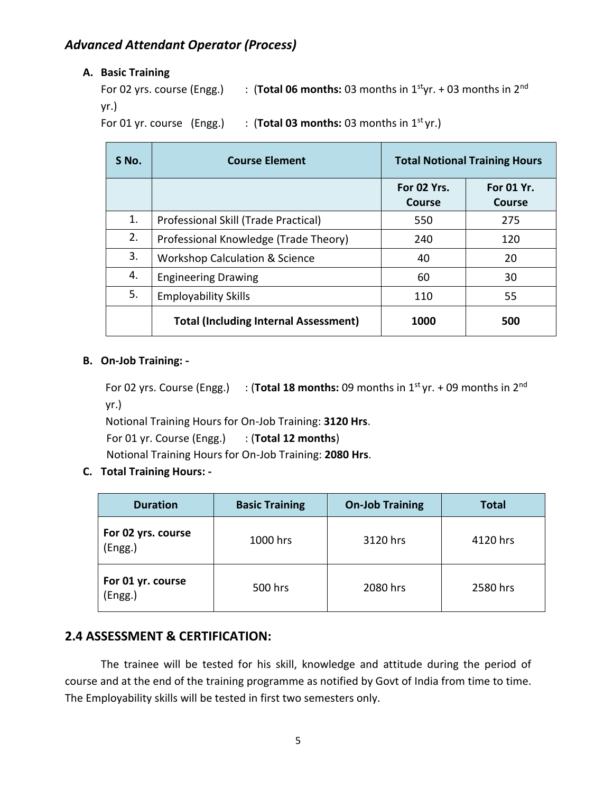#### **A. Basic Training**

```
For 02 yrs. course (Engg.) : (Total 06 months: 03 months in 1<sup>st</sup>yr. + 03 months in 2<sup>nd</sup>
yr.)
```
For 01 yr. course  $(Engg.)$  :  $(Total 03 months: 03 months in 1<sup>st</sup> yr.)$ 

| S No. | <b>Course Element</b>                        |                       | <b>Total Notional Training Hours</b> |
|-------|----------------------------------------------|-----------------------|--------------------------------------|
|       |                                              | For 02 Yrs.<br>Course | For 01 Yr.<br>Course                 |
| 1.    | Professional Skill (Trade Practical)         | 550                   | 275                                  |
| 2.    | Professional Knowledge (Trade Theory)        | 240                   | 120                                  |
| 3.    | <b>Workshop Calculation &amp; Science</b>    | 40                    | 20                                   |
| 4.    | <b>Engineering Drawing</b>                   | 60                    | 30                                   |
| 5.    | <b>Employability Skills</b>                  | 110                   | 55                                   |
|       | <b>Total (Including Internal Assessment)</b> | 1000                  | 500                                  |

#### **B. On-Job Training: -**

```
For 02 yrs. Course (Engg.) : (Total 18 months: 09 months in 1<sup>st</sup> yr. + 09 months in 2<sup>nd</sup>
yr.)
```
Notional Training Hours for On-Job Training: **3120 Hrs**.

For 01 yr. Course (Engg.) : (**Total 12 months**)

Notional Training Hours for On-Job Training: **2080 Hrs**.

#### **C. Total Training Hours: -**

| <b>Duration</b>                         | <b>Basic Training</b> | <b>On-Job Training</b> | <b>Total</b> |
|-----------------------------------------|-----------------------|------------------------|--------------|
| For 02 yrs. course<br>(Engg.)           | 1000 hrs              | 3120 hrs               | 4120 hrs     |
| For 01 yr. course<br>500 hrs<br>(Engg.) |                       | 2080 hrs               | 2580 hrs     |

#### **2.4 ASSESSMENT & CERTIFICATION:**

The trainee will be tested for his skill, knowledge and attitude during the period of course and at the end of the training programme as notified by Govt of India from time to time. The Employability skills will be tested in first two semesters only.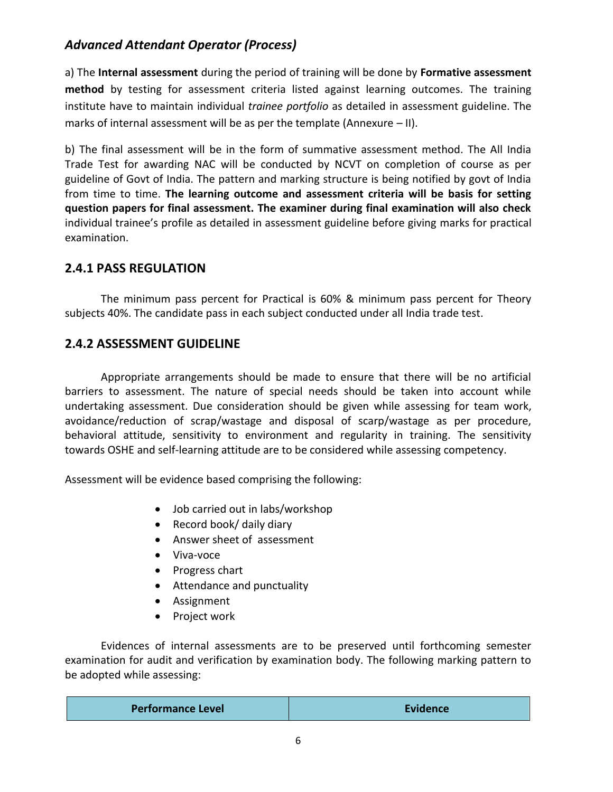a) The **Internal assessment** during the period of training will be done by **Formative assessment method** by testing for assessment criteria listed against learning outcomes. The training institute have to maintain individual *trainee portfolio* as detailed in assessment guideline. The marks of internal assessment will be as per the template (Annexure – II).

b) The final assessment will be in the form of summative assessment method. The All India Trade Test for awarding NAC will be conducted by NCVT on completion of course as per guideline of Govt of India. The pattern and marking structure is being notified by govt of India from time to time. **The learning outcome and assessment criteria will be basis for setting question papers for final assessment. The examiner during final examination will also check**  individual trainee's profile as detailed in assessment guideline before giving marks for practical examination.

#### **2.4.1 PASS REGULATION**

The minimum pass percent for Practical is 60% & minimum pass percent for Theory subjects 40%. The candidate pass in each subject conducted under all India trade test.

#### **2.4.2 ASSESSMENT GUIDELINE**

Appropriate arrangements should be made to ensure that there will be no artificial barriers to assessment. The nature of special needs should be taken into account while undertaking assessment. Due consideration should be given while assessing for team work, avoidance/reduction of scrap/wastage and disposal of scarp/wastage as per procedure, behavioral attitude, sensitivity to environment and regularity in training. The sensitivity towards OSHE and self-learning attitude are to be considered while assessing competency.

Assessment will be evidence based comprising the following:

- Job carried out in labs/workshop
- Record book/ daily diary
- Answer sheet of assessment
- Viva-voce
- Progress chart
- Attendance and punctuality
- Assignment
- Project work

Evidences of internal assessments are to be preserved until forthcoming semester examination for audit and verification by examination body. The following marking pattern to be adopted while assessing:

| <b>Performance Level</b> | Evidence |
|--------------------------|----------|
|--------------------------|----------|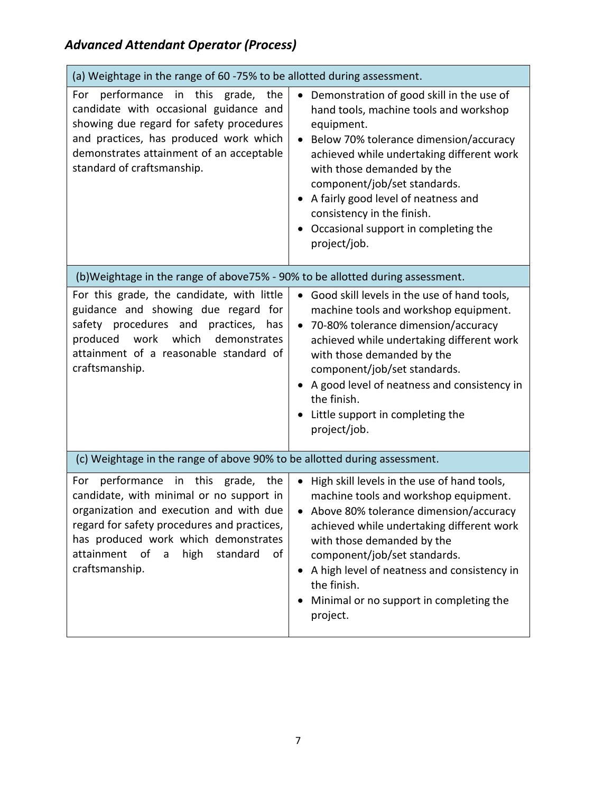| (a) Weightage in the range of 60 -75% to be allotted during assessment.                                                                                                                                                                                                                     |                                                                                                                                                                                                                                                                                                                                                                                     |
|---------------------------------------------------------------------------------------------------------------------------------------------------------------------------------------------------------------------------------------------------------------------------------------------|-------------------------------------------------------------------------------------------------------------------------------------------------------------------------------------------------------------------------------------------------------------------------------------------------------------------------------------------------------------------------------------|
| performance in this grade, the<br>For<br>candidate with occasional guidance and<br>showing due regard for safety procedures<br>and practices, has produced work which<br>demonstrates attainment of an acceptable<br>standard of craftsmanship.                                             | Demonstration of good skill in the use of<br>hand tools, machine tools and workshop<br>equipment.<br>Below 70% tolerance dimension/accuracy<br>achieved while undertaking different work<br>with those demanded by the<br>component/job/set standards.<br>A fairly good level of neatness and<br>consistency in the finish.<br>Occasional support in completing the<br>project/job. |
| (b)Weightage in the range of above75% - 90% to be allotted during assessment.                                                                                                                                                                                                               |                                                                                                                                                                                                                                                                                                                                                                                     |
| For this grade, the candidate, with little<br>guidance and showing due regard for<br>safety procedures and practices,<br>has<br>work<br>produced<br>which<br>demonstrates<br>attainment of a reasonable standard of<br>craftsmanship.                                                       | Good skill levels in the use of hand tools,<br>machine tools and workshop equipment.<br>70-80% tolerance dimension/accuracy<br>achieved while undertaking different work<br>with those demanded by the<br>component/job/set standards.<br>A good level of neatness and consistency in<br>the finish.<br>Little support in completing the<br>project/job.                            |
| (c) Weightage in the range of above 90% to be allotted during assessment.                                                                                                                                                                                                                   |                                                                                                                                                                                                                                                                                                                                                                                     |
| performance<br>in this grade, the<br>For<br>candidate, with minimal or no support in<br>organization and execution and with due<br>regard for safety procedures and practices,<br>has produced work which demonstrates<br>attainment<br>of<br>high<br>standard<br>of<br>a<br>craftsmanship. | High skill levels in the use of hand tools,<br>machine tools and workshop equipment.<br>Above 80% tolerance dimension/accuracy<br>achieved while undertaking different work<br>with those demanded by the<br>component/job/set standards.<br>A high level of neatness and consistency in<br>the finish.<br>Minimal or no support in completing the<br>project.                      |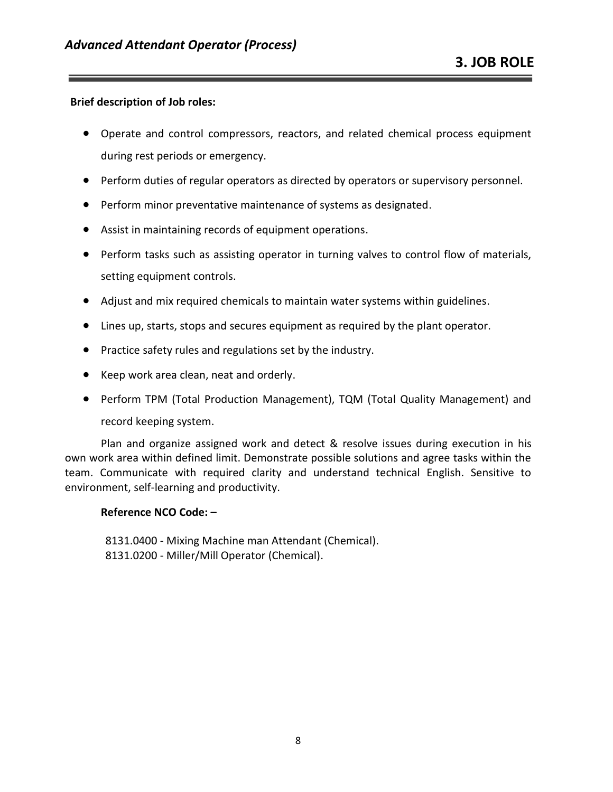#### **Brief description of Job roles:**

- Operate and control compressors, reactors, and related chemical process equipment during rest periods or emergency.
- Perform duties of regular operators as directed by operators or supervisory personnel.
- Perform minor preventative maintenance of systems as designated.
- Assist in maintaining records of equipment operations.
- Perform tasks such as assisting operator in turning valves to control flow of materials, setting equipment controls.
- Adjust and mix required chemicals to maintain water systems within guidelines.
- Lines up, starts, stops and secures equipment as required by the plant operator.
- Practice safety rules and regulations set by the industry.
- Keep work area clean, neat and orderly.
- Perform TPM (Total Production Management), TQM (Total Quality Management) and record keeping system.

Plan and organize assigned work and detect & resolve issues during execution in his own work area within defined limit. Demonstrate possible solutions and agree tasks within the team. Communicate with required clarity and understand technical English. Sensitive to environment, self-learning and productivity.

#### **Reference NCO Code: –**

8131.0400 - Mixing Machine man Attendant (Chemical). 8131.0200 - Miller/Mill Operator (Chemical).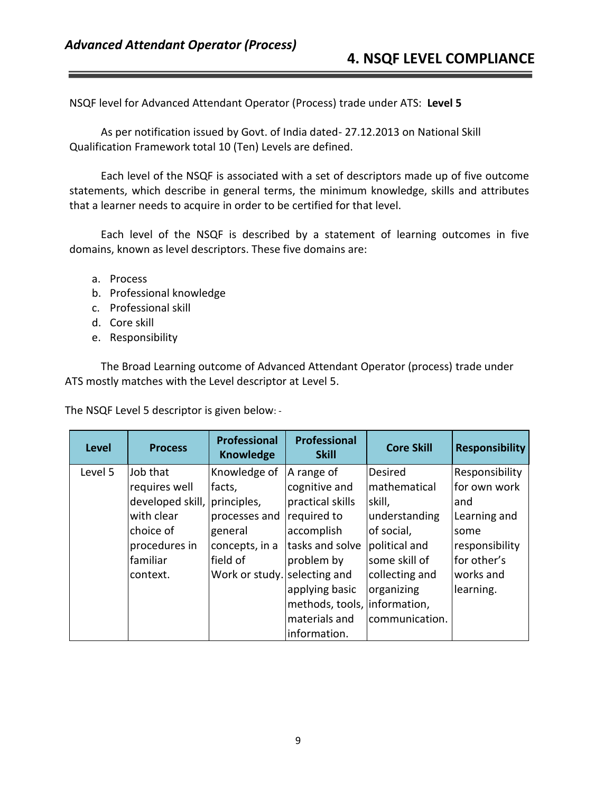NSQF level for Advanced Attendant Operator (Process) trade under ATS: **Level 5**

As per notification issued by Govt. of India dated- 27.12.2013 on National Skill Qualification Framework total 10 (Ten) Levels are defined.

Each level of the NSQF is associated with a set of descriptors made up of five outcome statements, which describe in general terms, the minimum knowledge, skills and attributes that a learner needs to acquire in order to be certified for that level.

Each level of the NSQF is described by a statement of learning outcomes in five domains, known as level descriptors. These five domains are:

- a. Process
- b. Professional knowledge
- c. Professional skill
- d. Core skill
- e. Responsibility

The Broad Learning outcome of Advanced Attendant Operator (process) trade under ATS mostly matches with the Level descriptor at Level 5.

The NSQF Level 5 descriptor is given below: -

| <b>Level</b> | <b>Process</b>               | <b>Professional</b><br><b>Knowledge</b> | <b>Professional</b><br><b>Skill</b> | <b>Core Skill</b> | <b>Responsibility</b> |
|--------------|------------------------------|-----------------------------------------|-------------------------------------|-------------------|-----------------------|
| Level 5      | Job that                     | Knowledge of                            | A range of                          | Desired           | Responsibility        |
|              | requires well                | facts,                                  | cognitive and                       | mathematical      | for own work          |
|              | developed skill, principles, |                                         | practical skills                    | skill,            | and                   |
|              | with clear                   | processes and                           | required to                         | understanding     | Learning and          |
|              | choice of                    | general                                 | accomplish                          | of social,        | some                  |
|              | procedures in                | concepts, in a                          | tasks and solve                     | political and     | responsibility        |
|              | <b>familiar</b>              | field of                                | problem by                          | some skill of     | for other's           |
|              | context.                     | Work or study. selecting and            |                                     | collecting and    | works and             |
|              |                              |                                         | applying basic                      | organizing        | learning.             |
|              |                              |                                         | methods, tools, information,        |                   |                       |
|              |                              |                                         | materials and                       | communication.    |                       |
|              |                              |                                         | information.                        |                   |                       |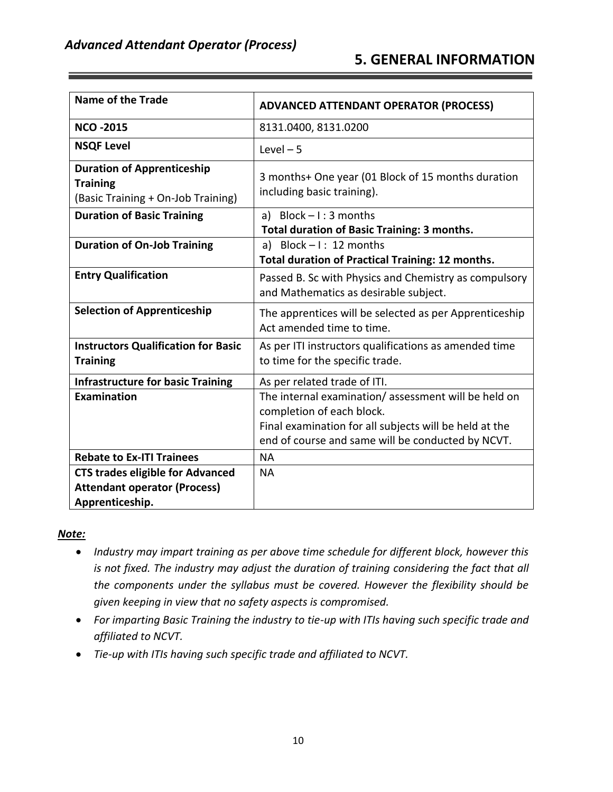| <b>Name of the Trade</b>                                                                   | <b>ADVANCED ATTENDANT OPERATOR (PROCESS)</b>                                     |
|--------------------------------------------------------------------------------------------|----------------------------------------------------------------------------------|
| <b>NCO -2015</b>                                                                           | 8131.0400, 8131.0200                                                             |
| <b>NSQF Level</b>                                                                          | Level $-5$                                                                       |
| <b>Duration of Apprenticeship</b><br><b>Training</b><br>(Basic Training + On-Job Training) | 3 months+ One year (01 Block of 15 months duration<br>including basic training). |
| <b>Duration of Basic Training</b>                                                          | a) Block $-1:3$ months                                                           |
|                                                                                            | <b>Total duration of Basic Training: 3 months.</b>                               |
| <b>Duration of On-Job Training</b>                                                         | a) Block $-1: 12$ months                                                         |
|                                                                                            | Total duration of Practical Training: 12 months.                                 |
| <b>Entry Qualification</b>                                                                 | Passed B. Sc with Physics and Chemistry as compulsory                            |
|                                                                                            | and Mathematics as desirable subject.                                            |
| <b>Selection of Apprenticeship</b>                                                         | The apprentices will be selected as per Apprenticeship                           |
|                                                                                            | Act amended time to time.                                                        |
| <b>Instructors Qualification for Basic</b>                                                 | As per ITI instructors qualifications as amended time                            |
| <b>Training</b>                                                                            | to time for the specific trade.                                                  |
| <b>Infrastructure for basic Training</b>                                                   | As per related trade of ITI.                                                     |
| Examination                                                                                | The internal examination/assessment will be held on                              |
|                                                                                            | completion of each block.                                                        |
|                                                                                            | Final examination for all subjects will be held at the                           |
|                                                                                            | end of course and same will be conducted by NCVT.                                |
| <b>Rebate to Ex-ITI Trainees</b>                                                           | <b>NA</b>                                                                        |
| <b>CTS trades eligible for Advanced</b>                                                    | <b>NA</b>                                                                        |
| <b>Attendant operator (Process)</b>                                                        |                                                                                  |
| Apprenticeship.                                                                            |                                                                                  |

#### *Note:*

- *Industry may impart training as per above time schedule for different block, however this is not fixed. The industry may adjust the duration of training considering the fact that all the components under the syllabus must be covered. However the flexibility should be given keeping in view that no safety aspects is compromised.*
- *For imparting Basic Training the industry to tie-up with ITIs having such specific trade and affiliated to NCVT.*
- *Tie-up with ITIs having such specific trade and affiliated to NCVT.*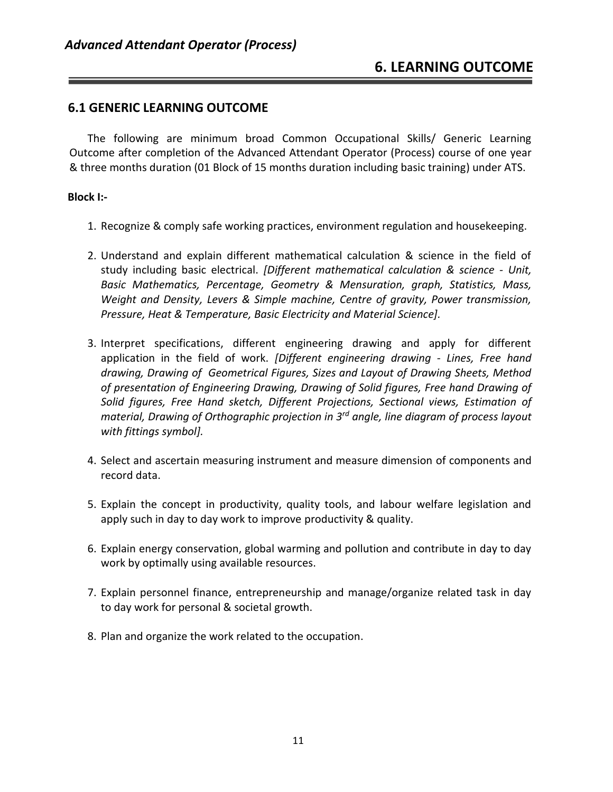#### **6.1 GENERIC LEARNING OUTCOME**

The following are minimum broad Common Occupational Skills/ Generic Learning Outcome after completion of the Advanced Attendant Operator (Process) course of one year & three months duration (01 Block of 15 months duration including basic training) under ATS.

#### **Block I:-**

- 1. Recognize & comply safe working practices, environment regulation and housekeeping.
- 2. Understand and explain different mathematical calculation & science in the field of study including basic electrical. *[Different mathematical calculation & science - Unit, Basic Mathematics, Percentage, Geometry & Mensuration, graph, Statistics, Mass, Weight and Density, Levers & Simple machine, Centre of gravity, Power transmission, Pressure, Heat & Temperature, Basic Electricity and Material Science].*
- 3. Interpret specifications, different engineering drawing and apply for different application in the field of work. *[Different engineering drawing - Lines, Free hand drawing, Drawing of Geometrical Figures, Sizes and Layout of Drawing Sheets, Method of presentation of Engineering Drawing, Drawing of Solid figures, Free hand Drawing of Solid figures, Free Hand sketch, Different Projections, Sectional views, Estimation of material, Drawing of Orthographic projection in 3rd angle, line diagram of process layout with fittings symbol].*
- 4. Select and ascertain measuring instrument and measure dimension of components and record data.
- 5. Explain the concept in productivity, quality tools, and labour welfare legislation and apply such in day to day work to improve productivity & quality.
- 6. Explain energy conservation, global warming and pollution and contribute in day to day work by optimally using available resources.
- 7. Explain personnel finance, entrepreneurship and manage/organize related task in day to day work for personal & societal growth.
- 8. Plan and organize the work related to the occupation.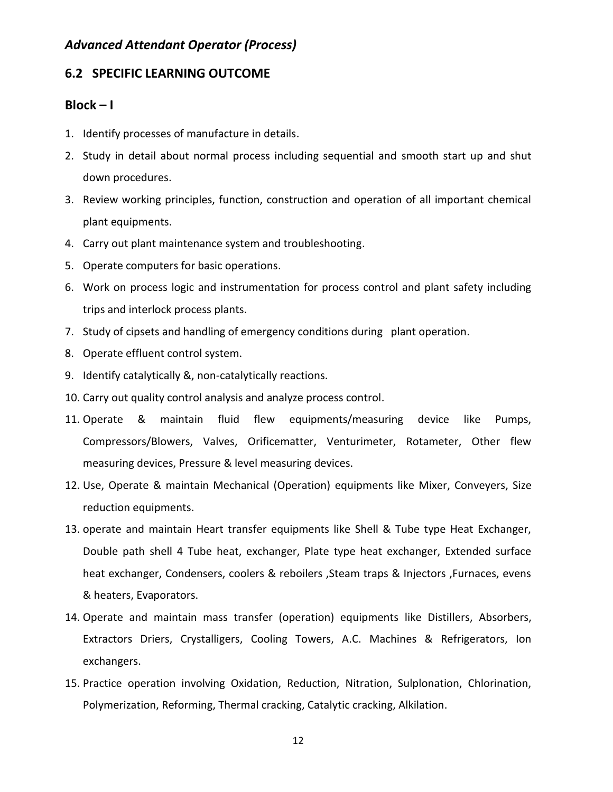#### **6.2 SPECIFIC LEARNING OUTCOME**

#### **Block – I**

- 1. Identify processes of manufacture in details.
- 2. Study in detail about normal process including sequential and smooth start up and shut down procedures.
- 3. Review working principles, function, construction and operation of all important chemical plant equipments.
- 4. Carry out plant maintenance system and troubleshooting.
- 5. Operate computers for basic operations.
- 6. Work on process logic and instrumentation for process control and plant safety including trips and interlock process plants.
- 7. Study of cipsets and handling of emergency conditions during plant operation.
- 8. Operate effluent control system.
- 9. Identify catalytically &, non-catalytically reactions.
- 10. Carry out quality control analysis and analyze process control.
- 11. Operate & maintain fluid flew equipments/measuring device like Pumps, Compressors/Blowers, Valves, Orificematter, Venturimeter, Rotameter, Other flew measuring devices, Pressure & level measuring devices.
- 12. Use, Operate & maintain Mechanical (Operation) equipments like Mixer, Conveyers, Size reduction equipments.
- 13. operate and maintain Heart transfer equipments like Shell & Tube type Heat Exchanger, Double path shell 4 Tube heat, exchanger, Plate type heat exchanger, Extended surface heat exchanger, Condensers, coolers & reboilers ,Steam traps & Injectors ,Furnaces, evens & heaters, Evaporators.
- 14. Operate and maintain mass transfer (operation) equipments like Distillers, Absorbers, Extractors Driers, Crystalligers, Cooling Towers, A.C. Machines & Refrigerators, Ion exchangers.
- 15. Practice operation involving Oxidation, Reduction, Nitration, Sulplonation, Chlorination, Polymerization, Reforming, Thermal cracking, Catalytic cracking, Alkilation.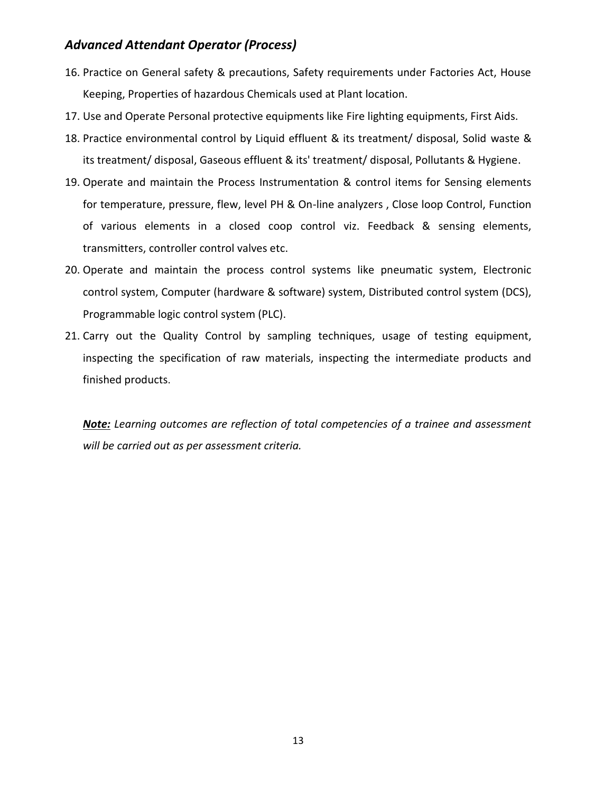- 16. Practice on General safety & precautions, Safety requirements under Factories Act, House Keeping, Properties of hazardous Chemicals used at Plant location.
- 17. Use and Operate Personal protective equipments like Fire lighting equipments, First Aids.
- 18. Practice environmental control by Liquid effluent & its treatment/ disposal, Solid waste & its treatment/ disposal, Gaseous effluent & its' treatment/ disposal, Pollutants & Hygiene.
- 19. Operate and maintain the Process Instrumentation & control items for Sensing elements for temperature, pressure, flew, level PH & On-line analyzers , Close loop Control, Function of various elements in a closed coop control viz. Feedback & sensing elements, transmitters, controller control valves etc.
- 20. Operate and maintain the process control systems like pneumatic system, Electronic control system, Computer (hardware & software) system, Distributed control system (DCS), Programmable logic control system (PLC).
- 21. Carry out the Quality Control by sampling techniques, usage of testing equipment, inspecting the specification of raw materials, inspecting the intermediate products and finished products.

*Note: Learning outcomes are reflection of total competencies of a trainee and assessment will be carried out as per assessment criteria.*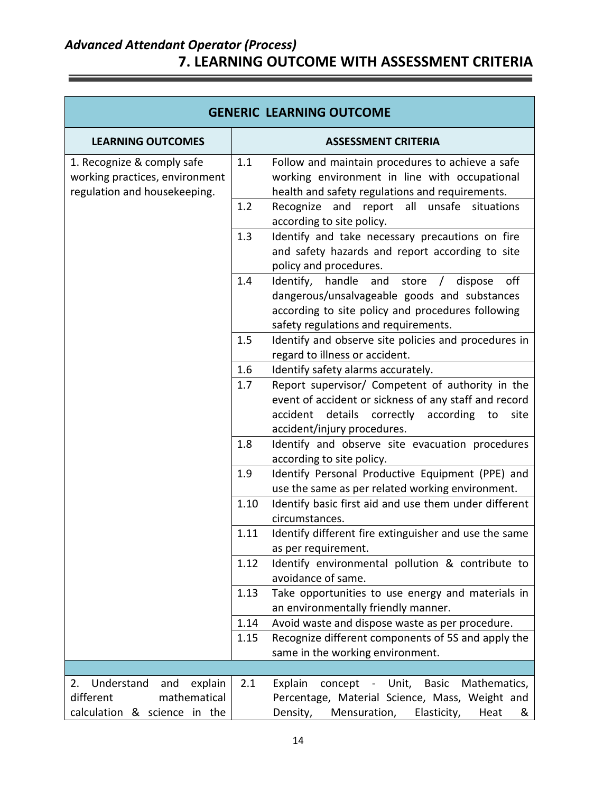### *Advanced Attendant Operator (Process)* **7. LEARNING OUTCOME WITH ASSESSMENT CRITERIA**

ă

 $\equiv$ 

| <b>GENERIC LEARNING OUTCOME</b>                                                                 |      |                                                                                                                                                                                                      |  |
|-------------------------------------------------------------------------------------------------|------|------------------------------------------------------------------------------------------------------------------------------------------------------------------------------------------------------|--|
| <b>LEARNING OUTCOMES</b>                                                                        |      | <b>ASSESSMENT CRITERIA</b>                                                                                                                                                                           |  |
| 1. Recognize & comply safe<br>working practices, environment<br>regulation and housekeeping.    | 1.1  | Follow and maintain procedures to achieve a safe<br>working environment in line with occupational<br>health and safety regulations and requirements.                                                 |  |
|                                                                                                 | 1.2  | report all unsafe situations<br>Recognize and<br>according to site policy.                                                                                                                           |  |
|                                                                                                 | 1.3  | Identify and take necessary precautions on fire<br>and safety hazards and report according to site<br>policy and procedures.                                                                         |  |
|                                                                                                 | 1.4  | Identify, handle<br>off<br>and<br>store<br>dispose<br>dangerous/unsalvageable goods and substances<br>according to site policy and procedures following<br>safety regulations and requirements.      |  |
|                                                                                                 | 1.5  | Identify and observe site policies and procedures in<br>regard to illness or accident.                                                                                                               |  |
|                                                                                                 | 1.6  | Identify safety alarms accurately.                                                                                                                                                                   |  |
|                                                                                                 | 1.7  | Report supervisor/ Competent of authority in the<br>event of accident or sickness of any staff and record<br>accident details<br>correctly<br>according<br>site<br>to<br>accident/injury procedures. |  |
|                                                                                                 | 1.8  | Identify and observe site evacuation procedures<br>according to site policy.                                                                                                                         |  |
|                                                                                                 | 1.9  | Identify Personal Productive Equipment (PPE) and<br>use the same as per related working environment.                                                                                                 |  |
|                                                                                                 | 1.10 | Identify basic first aid and use them under different<br>circumstances.                                                                                                                              |  |
|                                                                                                 | 1.11 | Identify different fire extinguisher and use the same<br>as per requirement.                                                                                                                         |  |
|                                                                                                 | 1.12 | Identify environmental pollution & contribute to<br>avoidance of same.                                                                                                                               |  |
|                                                                                                 | 1.13 | Take opportunities to use energy and materials in<br>an environmentally friendly manner.                                                                                                             |  |
|                                                                                                 | 1.14 | Avoid waste and dispose waste as per procedure.                                                                                                                                                      |  |
|                                                                                                 | 1.15 | Recognize different components of 5S and apply the<br>same in the working environment.                                                                                                               |  |
|                                                                                                 |      |                                                                                                                                                                                                      |  |
| Understand<br>explain<br>2.<br>and<br>different<br>mathematical<br>calculation & science in the | 2.1  | Explain<br><b>Basic</b><br>Mathematics,<br>concept<br>- Unit,<br>Percentage, Material Science, Mass, Weight and<br>Density,<br>Mensuration,<br>Elasticity,<br>Heat<br>&                              |  |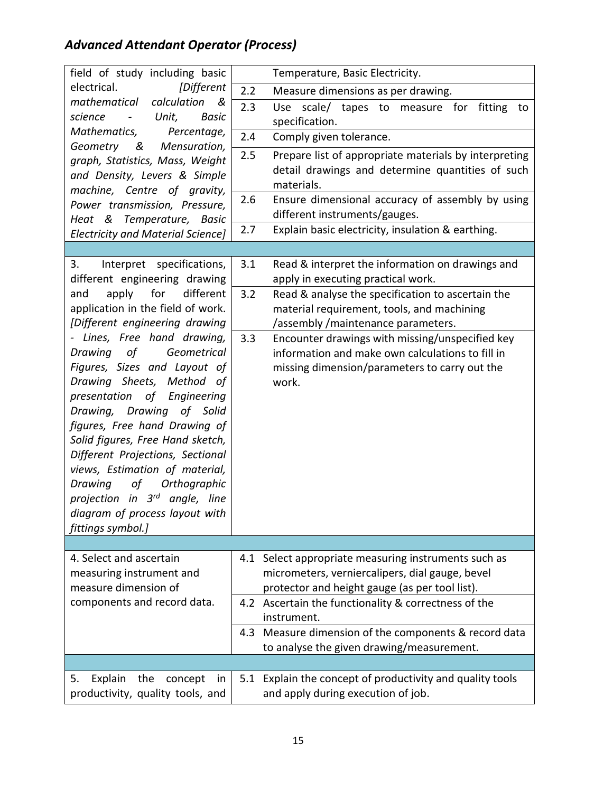| field of study including basic                              |     | Temperature, Basic Electricity.                                     |
|-------------------------------------------------------------|-----|---------------------------------------------------------------------|
| electrical.<br><i><b>[Different</b></i>                     | 2.2 | Measure dimensions as per drawing.                                  |
| mathematical<br>calculation<br>- &                          | 2.3 | scale/ tapes to measure for<br><b>Use</b><br>fitting<br>to          |
| Unit,<br><b>Basic</b><br>science                            |     | specification.                                                      |
| Mathematics,<br>Percentage,                                 | 2.4 | Comply given tolerance.                                             |
| Geometry &<br>Mensuration,                                  | 2.5 | Prepare list of appropriate materials by interpreting               |
| graph, Statistics, Mass, Weight                             |     | detail drawings and determine quantities of such                    |
| and Density, Levers & Simple<br>machine, Centre of gravity, |     | materials.                                                          |
| Power transmission, Pressure,                               | 2.6 | Ensure dimensional accuracy of assembly by using                    |
| Heat & Temperature, Basic                                   |     | different instruments/gauges.                                       |
| <b>Electricity and Material Science]</b>                    | 2.7 | Explain basic electricity, insulation & earthing.                   |
|                                                             |     |                                                                     |
| Interpret specifications,<br>3.                             | 3.1 | Read & interpret the information on drawings and                    |
| different engineering drawing                               |     | apply in executing practical work.                                  |
| apply<br>for<br>different<br>and                            | 3.2 | Read & analyse the specification to ascertain the                   |
| application in the field of work.                           |     | material requirement, tools, and machining                          |
| [Different engineering drawing                              |     | /assembly/maintenance parameters.                                   |
| - Lines, Free hand drawing,                                 | 3.3 | Encounter drawings with missing/unspecified key                     |
| Drawing<br>οf<br>Geometrical                                |     | information and make own calculations to fill in                    |
| Figures, Sizes and Layout of                                |     | missing dimension/parameters to carry out the                       |
| Drawing Sheets, Method of<br>Engineering                    |     | work.                                                               |
| presentation of<br>Drawing, Drawing of Solid                |     |                                                                     |
| figures, Free hand Drawing of                               |     |                                                                     |
| Solid figures, Free Hand sketch,                            |     |                                                                     |
| Different Projections, Sectional                            |     |                                                                     |
| views, Estimation of material,                              |     |                                                                     |
| Drawing<br>οf<br>Orthographic                               |     |                                                                     |
| projection in 3 <sup>rd</sup> angle, line                   |     |                                                                     |
| diagram of process layout with                              |     |                                                                     |
| fittings symbol.]                                           |     |                                                                     |
|                                                             |     |                                                                     |
| 4. Select and ascertain                                     |     | 4.1 Select appropriate measuring instruments such as                |
| measuring instrument and                                    |     | micrometers, verniercalipers, dial gauge, bevel                     |
| measure dimension of                                        |     | protector and height gauge (as per tool list).                      |
| components and record data.                                 |     | 4.2 Ascertain the functionality & correctness of the<br>instrument. |
|                                                             | 4.3 | Measure dimension of the components & record data                   |
|                                                             |     | to analyse the given drawing/measurement.                           |
|                                                             |     |                                                                     |
| Explain<br>the<br>concept<br>5.<br>in                       |     | 5.1 Explain the concept of productivity and quality tools           |
| productivity, quality tools, and                            |     | and apply during execution of job.                                  |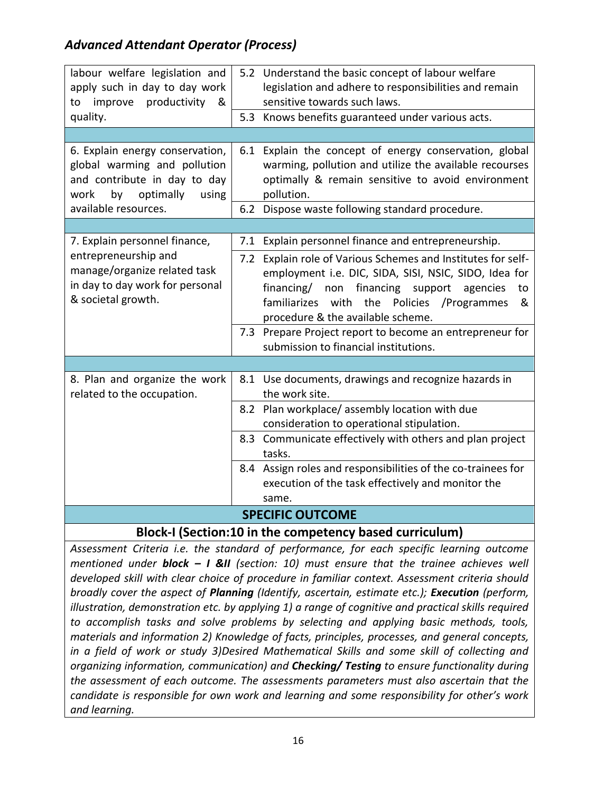| labour welfare legislation and     |                                                                            | 5.2 Understand the basic concept of labour welfare           |  |  |  |
|------------------------------------|----------------------------------------------------------------------------|--------------------------------------------------------------|--|--|--|
| apply such in day to day work      |                                                                            | legislation and adhere to responsibilities and remain        |  |  |  |
| productivity<br>improve<br>to<br>& |                                                                            | sensitive towards such laws.                                 |  |  |  |
| quality.                           |                                                                            | 5.3 Knows benefits guaranteed under various acts.            |  |  |  |
|                                    |                                                                            |                                                              |  |  |  |
| 6. Explain energy conservation,    |                                                                            | 6.1 Explain the concept of energy conservation, global       |  |  |  |
| global warming and pollution       |                                                                            | warming, pollution and utilize the available recourses       |  |  |  |
| and contribute in day to day       |                                                                            | optimally & remain sensitive to avoid environment            |  |  |  |
| by<br>optimally<br>using<br>work   |                                                                            | pollution.                                                   |  |  |  |
| available resources.               |                                                                            | 6.2 Dispose waste following standard procedure.              |  |  |  |
|                                    |                                                                            |                                                              |  |  |  |
| 7. Explain personnel finance,      |                                                                            | 7.1 Explain personnel finance and entrepreneurship.          |  |  |  |
| entrepreneurship and               | 7.2                                                                        | Explain role of Various Schemes and Institutes for self-     |  |  |  |
| manage/organize related task       |                                                                            | employment i.e. DIC, SIDA, SISI, NSIC, SIDO, Idea for        |  |  |  |
| in day to day work for personal    |                                                                            | financing/ non financing support<br>agencies<br>to           |  |  |  |
| & societal growth.                 |                                                                            | familiarizes<br>with<br>the<br>Policies /Programmes<br>&     |  |  |  |
|                                    |                                                                            | procedure & the available scheme.                            |  |  |  |
|                                    |                                                                            | 7.3 Prepare Project report to become an entrepreneur for     |  |  |  |
|                                    |                                                                            | submission to financial institutions.                        |  |  |  |
|                                    |                                                                            |                                                              |  |  |  |
| 8. Plan and organize the work      |                                                                            | 8.1 Use documents, drawings and recognize hazards in         |  |  |  |
| related to the occupation.         |                                                                            | the work site.                                               |  |  |  |
|                                    |                                                                            | 8.2 Plan workplace/assembly location with due                |  |  |  |
|                                    |                                                                            | consideration to operational stipulation.                    |  |  |  |
|                                    |                                                                            | 8.3 Communicate effectively with others and plan project     |  |  |  |
|                                    |                                                                            | tasks.                                                       |  |  |  |
|                                    |                                                                            | 8.4 Assign roles and responsibilities of the co-trainees for |  |  |  |
|                                    |                                                                            | execution of the task effectively and monitor the            |  |  |  |
|                                    |                                                                            | same.                                                        |  |  |  |
| <b>SPECIFIC OUTCOME</b>            |                                                                            |                                                              |  |  |  |
|                                    | $\mathsf{D}$ leel $\ell$   (Cection:40 in the compatency becade cumiculum) |                                                              |  |  |  |

**Block-I (Section:10 in the competency based curriculum)**

*Assessment Criteria i.e. the standard of performance, for each specific learning outcome mentioned under block – I &II (section: 10) must ensure that the trainee achieves well developed skill with clear choice of procedure in familiar context. Assessment criteria should broadly cover the aspect of Planning (Identify, ascertain, estimate etc.); Execution (perform, illustration, demonstration etc. by applying 1) a range of cognitive and practical skills required to accomplish tasks and solve problems by selecting and applying basic methods, tools, materials and information 2) Knowledge of facts, principles, processes, and general concepts, in a field of work or study 3)Desired Mathematical Skills and some skill of collecting and organizing information, communication) and Checking/ Testing to ensure functionality during the assessment of each outcome. The assessments parameters must also ascertain that the candidate is responsible for own work and learning and some responsibility for other's work and learning.*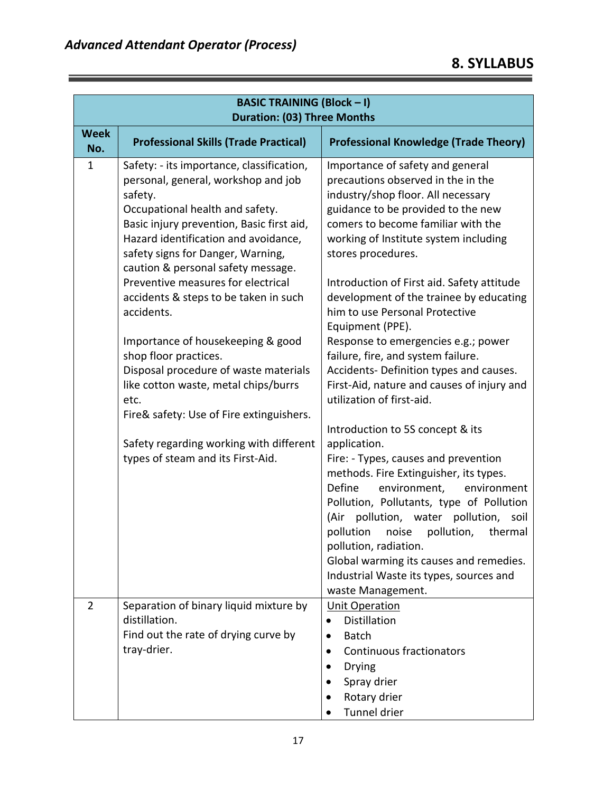|                    | <b>BASIC TRAINING (Block - I)</b><br><b>Duration: (03) Three Months</b>                                                                                                                                                                                                                                                                                                                                                                                                                                                                                                                                                                                                        |                                                                                                                                                                                                                                                                                                                                                                                                                                                                                                                                                                                                                                                                                                                                                                                                                                                                                                                                                                                                        |  |  |
|--------------------|--------------------------------------------------------------------------------------------------------------------------------------------------------------------------------------------------------------------------------------------------------------------------------------------------------------------------------------------------------------------------------------------------------------------------------------------------------------------------------------------------------------------------------------------------------------------------------------------------------------------------------------------------------------------------------|--------------------------------------------------------------------------------------------------------------------------------------------------------------------------------------------------------------------------------------------------------------------------------------------------------------------------------------------------------------------------------------------------------------------------------------------------------------------------------------------------------------------------------------------------------------------------------------------------------------------------------------------------------------------------------------------------------------------------------------------------------------------------------------------------------------------------------------------------------------------------------------------------------------------------------------------------------------------------------------------------------|--|--|
| <b>Week</b><br>No. | <b>Professional Skills (Trade Practical)</b>                                                                                                                                                                                                                                                                                                                                                                                                                                                                                                                                                                                                                                   | <b>Professional Knowledge (Trade Theory)</b>                                                                                                                                                                                                                                                                                                                                                                                                                                                                                                                                                                                                                                                                                                                                                                                                                                                                                                                                                           |  |  |
| 1                  | Safety: - its importance, classification,<br>personal, general, workshop and job<br>safety.<br>Occupational health and safety.<br>Basic injury prevention, Basic first aid,<br>Hazard identification and avoidance,<br>safety signs for Danger, Warning,<br>caution & personal safety message.<br>Preventive measures for electrical<br>accidents & steps to be taken in such<br>accidents.<br>Importance of housekeeping & good<br>shop floor practices.<br>Disposal procedure of waste materials<br>like cotton waste, metal chips/burrs<br>etc.<br>Fire& safety: Use of Fire extinguishers.<br>Safety regarding working with different<br>types of steam and its First-Aid. | Importance of safety and general<br>precautions observed in the in the<br>industry/shop floor. All necessary<br>guidance to be provided to the new<br>comers to become familiar with the<br>working of Institute system including<br>stores procedures.<br>Introduction of First aid. Safety attitude<br>development of the trainee by educating<br>him to use Personal Protective<br>Equipment (PPE).<br>Response to emergencies e.g.; power<br>failure, fire, and system failure.<br>Accidents- Definition types and causes.<br>First-Aid, nature and causes of injury and<br>utilization of first-aid.<br>Introduction to 5S concept & its<br>application.<br>Fire: - Types, causes and prevention<br>methods. Fire Extinguisher, its types.<br>Define<br>environment,<br>environment<br>Pollution, Pollutants, type of Pollution<br>pollution, water<br>pollution, soil<br>(Air<br>pollution<br>pollution,<br>noise<br>thermal<br>pollution, radiation.<br>Global warming its causes and remedies. |  |  |
| 2                  | Separation of binary liquid mixture by                                                                                                                                                                                                                                                                                                                                                                                                                                                                                                                                                                                                                                         | Industrial Waste its types, sources and<br>waste Management.<br><b>Unit Operation</b>                                                                                                                                                                                                                                                                                                                                                                                                                                                                                                                                                                                                                                                                                                                                                                                                                                                                                                                  |  |  |
|                    | distillation.<br>Find out the rate of drying curve by<br>tray-drier.                                                                                                                                                                                                                                                                                                                                                                                                                                                                                                                                                                                                           | <b>Distillation</b><br>$\bullet$<br><b>Batch</b><br>$\bullet$<br>Continuous fractionators<br>$\bullet$<br><b>Drying</b><br>Spray drier<br>Rotary drier<br>Tunnel drier                                                                                                                                                                                                                                                                                                                                                                                                                                                                                                                                                                                                                                                                                                                                                                                                                                 |  |  |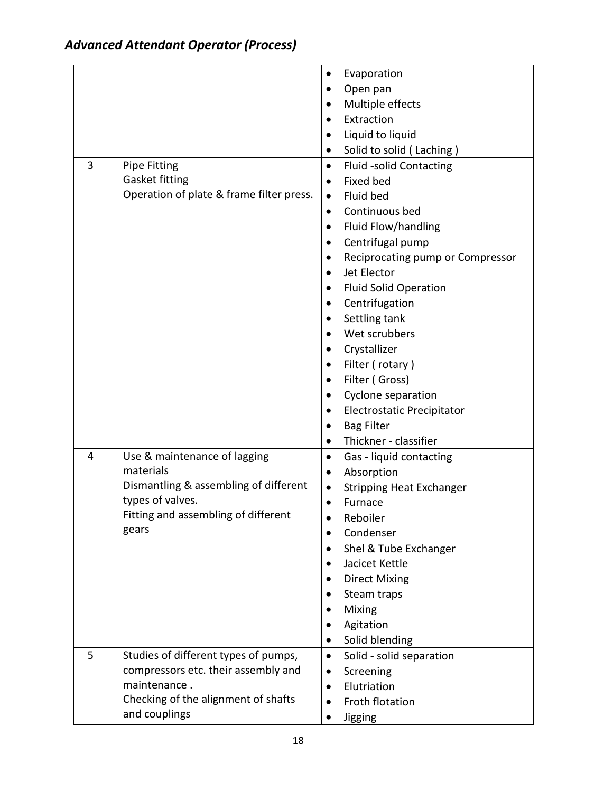|                |                                          | ٠         | Evaporation                       |
|----------------|------------------------------------------|-----------|-----------------------------------|
|                |                                          |           | Open pan                          |
|                |                                          |           | Multiple effects                  |
|                |                                          |           | Extraction                        |
|                |                                          |           | Liquid to liquid                  |
|                |                                          | ٠         | Solid to solid (Laching)          |
| $\overline{3}$ | <b>Pipe Fitting</b>                      | $\bullet$ | <b>Fluid -solid Contacting</b>    |
|                | Gasket fitting                           | $\bullet$ | <b>Fixed bed</b>                  |
|                | Operation of plate & frame filter press. | $\bullet$ | Fluid bed                         |
|                |                                          | ٠         | Continuous bed                    |
|                |                                          | ٠         | Fluid Flow/handling               |
|                |                                          |           | Centrifugal pump                  |
|                |                                          | ٠         | Reciprocating pump or Compressor  |
|                |                                          |           | Jet Elector                       |
|                |                                          | ٠         | <b>Fluid Solid Operation</b>      |
|                |                                          | $\bullet$ | Centrifugation                    |
|                |                                          |           | Settling tank                     |
|                |                                          |           | Wet scrubbers                     |
|                |                                          |           | Crystallizer                      |
|                |                                          | ٠         | Filter (rotary)                   |
|                |                                          |           | Filter (Gross)                    |
|                |                                          | ٠         | Cyclone separation                |
|                |                                          |           | <b>Electrostatic Precipitator</b> |
|                |                                          |           | <b>Bag Filter</b>                 |
|                |                                          | $\bullet$ | Thickner - classifier             |
| 4              | Use & maintenance of lagging             | $\bullet$ | Gas - liquid contacting           |
|                | materials                                | $\bullet$ | Absorption                        |
|                | Dismantling & assembling of different    |           | <b>Stripping Heat Exchanger</b>   |
|                | types of valves.                         | $\bullet$ | Furnace                           |
|                | Fitting and assembling of different      |           | Reboiler                          |
|                | gears                                    |           | Condenser                         |
|                |                                          |           | Shel & Tube Exchanger             |
|                |                                          |           | Jacicet Kettle                    |
|                |                                          |           | <b>Direct Mixing</b>              |
|                |                                          |           | Steam traps                       |
|                |                                          |           | Mixing                            |
|                |                                          |           | Agitation                         |
|                |                                          | ٠         | Solid blending                    |
| 5              | Studies of different types of pumps,     | $\bullet$ | Solid - solid separation          |
|                | compressors etc. their assembly and      |           | Screening                         |
|                | maintenance.                             |           | Elutriation                       |
|                | Checking of the alignment of shafts      |           | Froth flotation                   |
|                | and couplings                            |           | Jigging                           |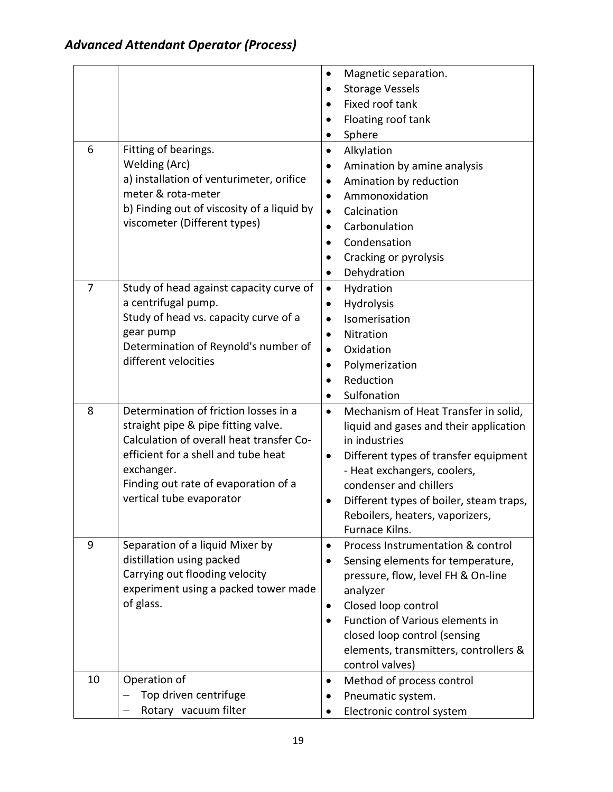|    |                                            | ٠         | Magnetic separation.                    |
|----|--------------------------------------------|-----------|-----------------------------------------|
|    |                                            |           | <b>Storage Vessels</b>                  |
|    |                                            |           | Fixed roof tank                         |
|    |                                            |           | Floating roof tank                      |
|    |                                            | ٠         | Sphere                                  |
| 6  | Fitting of bearings.                       | $\bullet$ | Alkylation                              |
|    | Welding (Arc)                              | $\bullet$ | Amination by amine analysis             |
|    | a) installation of venturimeter, orifice   | $\bullet$ | Amination by reduction                  |
|    | meter & rota-meter                         | $\bullet$ | Ammonoxidation                          |
|    | b) Finding out of viscosity of a liquid by | $\bullet$ | Calcination                             |
|    | viscometer (Different types)               | ٠         | Carbonulation                           |
|    |                                            | $\bullet$ | Condensation                            |
|    |                                            |           | Cracking or pyrolysis                   |
|    |                                            |           | Dehydration                             |
| 7  | Study of head against capacity curve of    | $\bullet$ | Hydration                               |
|    | a centrifugal pump.                        | ٠         | Hydrolysis                              |
|    | Study of head vs. capacity curve of a      |           | Isomerisation                           |
|    | gear pump                                  |           | Nitration                               |
|    | Determination of Reynold's number of       | $\bullet$ | Oxidation                               |
|    | different velocities                       |           | Polymerization                          |
|    |                                            |           | Reduction                               |
|    |                                            | $\bullet$ | Sulfonation                             |
| 8  | Determination of friction losses in a      | $\bullet$ | Mechanism of Heat Transfer in solid,    |
|    | straight pipe & pipe fitting valve.        |           | liquid and gases and their application  |
|    | Calculation of overall heat transfer Co-   |           | in industries                           |
|    | efficient for a shell and tube heat        | $\bullet$ | Different types of transfer equipment   |
|    | exchanger.                                 |           | - Heat exchangers, coolers,             |
|    | Finding out rate of evaporation of a       |           | condenser and chillers                  |
|    | vertical tube evaporator                   |           | Different types of boiler, steam traps, |
|    |                                            |           | Reboilers, heaters, vaporizers,         |
|    |                                            |           | Furnace Kilns.                          |
| 9  | Separation of a liquid Mixer by            | $\bullet$ | Process Instrumentation & control       |
|    | distillation using packed                  |           | Sensing elements for temperature,       |
|    | Carrying out flooding velocity             |           | pressure, flow, level FH & On-line      |
|    | experiment using a packed tower made       |           | analyzer                                |
|    | of glass.                                  | ٠         | Closed loop control                     |
|    |                                            |           | Function of Various elements in         |
|    |                                            |           | closed loop control (sensing            |
|    |                                            |           | elements, transmitters, controllers &   |
|    |                                            |           | control valves)                         |
| 10 | Operation of                               | $\bullet$ | Method of process control               |
|    | Top driven centrifuge                      |           | Pneumatic system.                       |
|    | Rotary vacuum filter                       |           | Electronic control system               |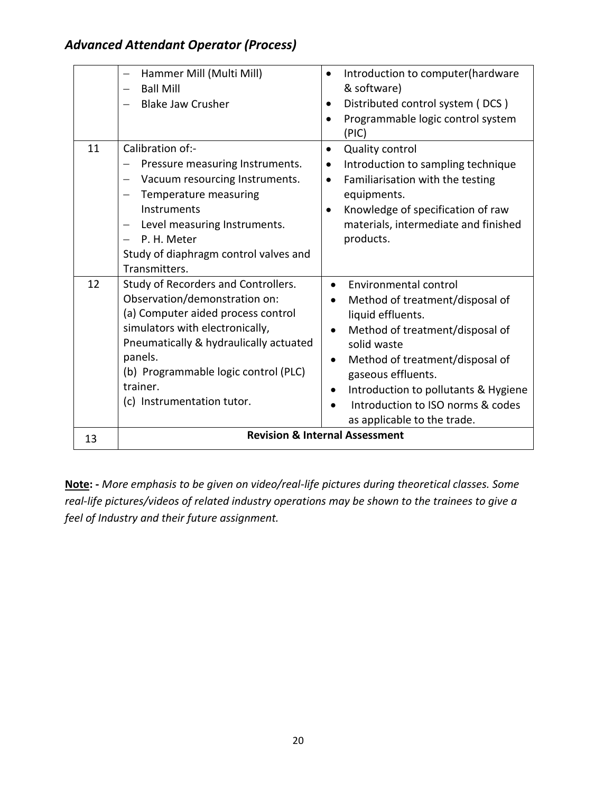|    | Hammer Mill (Multi Mill)<br><b>Ball Mill</b><br><b>Blake Jaw Crusher</b>                                                                                                                                                                                                                                                          | Introduction to computer(hardware<br>& software)<br>Distributed control system (DCS)<br>Programmable logic control system<br>$\bullet$<br>(PIC)                                                                                                                                                                                                               |
|----|-----------------------------------------------------------------------------------------------------------------------------------------------------------------------------------------------------------------------------------------------------------------------------------------------------------------------------------|---------------------------------------------------------------------------------------------------------------------------------------------------------------------------------------------------------------------------------------------------------------------------------------------------------------------------------------------------------------|
| 11 | Calibration of:-<br>Pressure measuring Instruments.<br>Vacuum resourcing Instruments.<br>$\qquad \qquad -$<br>Temperature measuring<br>$\qquad \qquad -$<br>Instruments<br>Level measuring Instruments.<br>$\overline{\phantom{m}}$<br>P. H. Meter<br>$\qquad \qquad =$<br>Study of diaphragm control valves and<br>Transmitters. | <b>Quality control</b><br>$\bullet$<br>Introduction to sampling technique<br>$\bullet$<br>Familiarisation with the testing<br>$\bullet$<br>equipments.<br>Knowledge of specification of raw<br>materials, intermediate and finished<br>products.                                                                                                              |
| 12 | Study of Recorders and Controllers.<br>Observation/demonstration on:<br>(a) Computer aided process control<br>simulators with electronically,<br>Pneumatically & hydraulically actuated<br>panels.<br>(b) Programmable logic control (PLC)<br>trainer.<br>(c) Instrumentation tutor.                                              | Environmental control<br>$\bullet$<br>Method of treatment/disposal of<br>$\bullet$<br>liquid effluents.<br>Method of treatment/disposal of<br>$\bullet$<br>solid waste<br>Method of treatment/disposal of<br>$\bullet$<br>gaseous effluents.<br>Introduction to pollutants & Hygiene<br>٠<br>Introduction to ISO norms & codes<br>as applicable to the trade. |
| 13 |                                                                                                                                                                                                                                                                                                                                   | <b>Revision &amp; Internal Assessment</b>                                                                                                                                                                                                                                                                                                                     |

**Note: -** *More emphasis to be given on video/real-life pictures during theoretical classes. Some real-life pictures/videos of related industry operations may be shown to the trainees to give a feel of Industry and their future assignment.*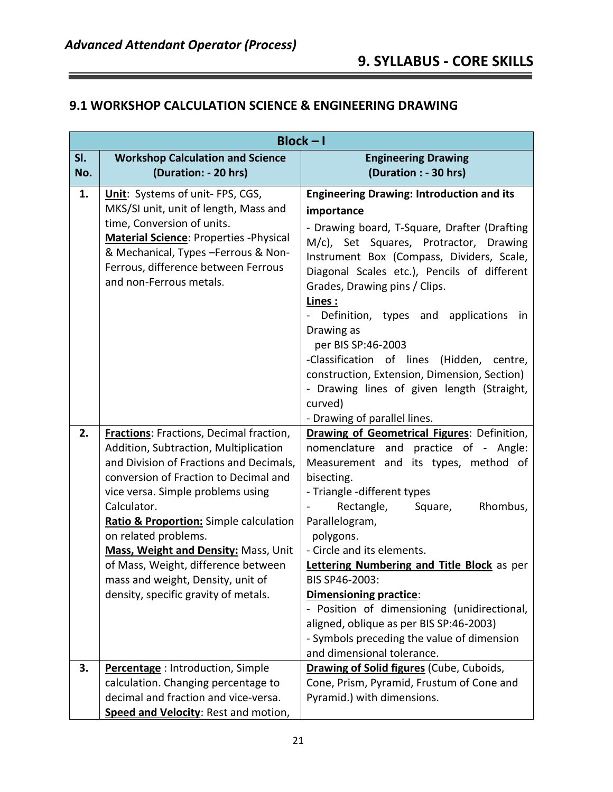#### **9.1 WORKSHOP CALCULATION SCIENCE & ENGINEERING DRAWING**

|            | $Block - I$                                                                                                                                                                                                                                                                                                                                                                                                                                                   |                                                                                                                                                                                                                                                                                                                                                                                                                                                                                                                                                                          |  |
|------------|---------------------------------------------------------------------------------------------------------------------------------------------------------------------------------------------------------------------------------------------------------------------------------------------------------------------------------------------------------------------------------------------------------------------------------------------------------------|--------------------------------------------------------------------------------------------------------------------------------------------------------------------------------------------------------------------------------------------------------------------------------------------------------------------------------------------------------------------------------------------------------------------------------------------------------------------------------------------------------------------------------------------------------------------------|--|
| SI.<br>No. | <b>Workshop Calculation and Science</b><br>(Duration: - 20 hrs)                                                                                                                                                                                                                                                                                                                                                                                               | <b>Engineering Drawing</b><br>(Duration : - 30 hrs)                                                                                                                                                                                                                                                                                                                                                                                                                                                                                                                      |  |
| 1.         | Unit: Systems of unit- FPS, CGS,<br>MKS/SI unit, unit of length, Mass and<br>time, Conversion of units.<br>Material Science: Properties - Physical<br>& Mechanical, Types -Ferrous & Non-<br>Ferrous, difference between Ferrous<br>and non-Ferrous metals.                                                                                                                                                                                                   | <b>Engineering Drawing: Introduction and its</b><br>importance<br>- Drawing board, T-Square, Drafter (Drafting<br>M/c), Set Squares, Protractor, Drawing<br>Instrument Box (Compass, Dividers, Scale,<br>Diagonal Scales etc.), Pencils of different<br>Grades, Drawing pins / Clips.<br>Lines:<br>Definition, types and applications<br>in<br>Drawing as<br>per BIS SP:46-2003<br>-Classification of lines<br>(Hidden, centre,<br>construction, Extension, Dimension, Section)<br>- Drawing lines of given length (Straight,<br>curved)<br>- Drawing of parallel lines. |  |
| 2.         | <b>Fractions:</b> Fractions, Decimal fraction,<br>Addition, Subtraction, Multiplication<br>and Division of Fractions and Decimals,<br>conversion of Fraction to Decimal and<br>vice versa. Simple problems using<br>Calculator.<br>Ratio & Proportion: Simple calculation<br>on related problems.<br>Mass, Weight and Density: Mass, Unit<br>of Mass, Weight, difference between<br>mass and weight, Density, unit of<br>density, specific gravity of metals. | <b>Drawing of Geometrical Figures: Definition,</b><br>nomenclature and practice of - Angle:<br>Measurement and its types, method of<br>bisecting.<br>- Triangle -different types<br>Rectangle,<br>Rhombus,<br>Square,<br>Parallelogram,<br>polygons.<br>- Circle and its elements.<br>Lettering Numbering and Title Block as per<br>BIS SP46-2003:<br><b>Dimensioning practice:</b><br>- Position of dimensioning (unidirectional,<br>aligned, oblique as per BIS SP:46-2003)<br>- Symbols preceding the value of dimension<br>and dimensional tolerance.                |  |
| 3.         | Percentage: Introduction, Simple<br>calculation. Changing percentage to<br>decimal and fraction and vice-versa.<br>Speed and Velocity: Rest and motion,                                                                                                                                                                                                                                                                                                       | Drawing of Solid figures (Cube, Cuboids,<br>Cone, Prism, Pyramid, Frustum of Cone and<br>Pyramid.) with dimensions.                                                                                                                                                                                                                                                                                                                                                                                                                                                      |  |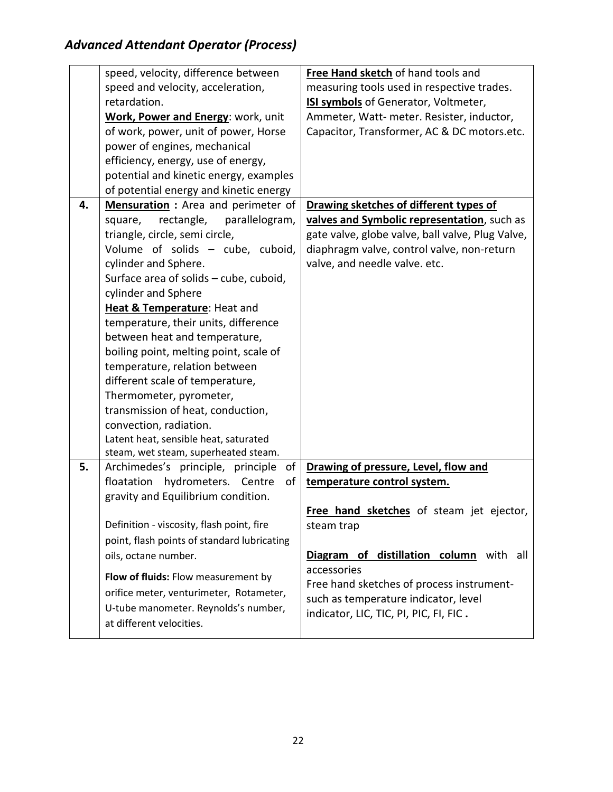|    | speed, velocity, difference between         | Free Hand sketch of hand tools and               |
|----|---------------------------------------------|--------------------------------------------------|
|    | speed and velocity, acceleration,           | measuring tools used in respective trades.       |
|    | retardation.                                | ISI symbols of Generator, Voltmeter,             |
|    | Work, Power and Energy: work, unit          | Ammeter, Watt- meter. Resister, inductor,        |
|    | of work, power, unit of power, Horse        | Capacitor, Transformer, AC & DC motors.etc.      |
|    | power of engines, mechanical                |                                                  |
|    | efficiency, energy, use of energy,          |                                                  |
|    | potential and kinetic energy, examples      |                                                  |
|    | of potential energy and kinetic energy      |                                                  |
| 4. | Mensuration : Area and perimeter of         | Drawing sketches of different types of           |
|    | rectangle,<br>parallelogram,<br>square,     | valves and Symbolic representation, such as      |
|    | triangle, circle, semi circle,              | gate valve, globe valve, ball valve, Plug Valve, |
|    | Volume of solids - cube, cuboid,            | diaphragm valve, control valve, non-return       |
|    | cylinder and Sphere.                        | valve, and needle valve. etc.                    |
|    | Surface area of solids – cube, cuboid,      |                                                  |
|    | cylinder and Sphere                         |                                                  |
|    | Heat & Temperature: Heat and                |                                                  |
|    | temperature, their units, difference        |                                                  |
|    | between heat and temperature,               |                                                  |
|    | boiling point, melting point, scale of      |                                                  |
|    | temperature, relation between               |                                                  |
|    | different scale of temperature,             |                                                  |
|    | Thermometer, pyrometer,                     |                                                  |
|    | transmission of heat, conduction,           |                                                  |
|    | convection, radiation.                      |                                                  |
|    | Latent heat, sensible heat, saturated       |                                                  |
|    | steam, wet steam, superheated steam.        |                                                  |
| 5. | Archimedes's principle, principle<br>of     | Drawing of pressure, Level, flow and             |
|    | of<br>floatation<br>hydrometers. Centre     | temperature control system.                      |
|    | gravity and Equilibrium condition.          |                                                  |
|    |                                             | Free hand sketches of steam jet ejector,         |
|    | Definition - viscosity, flash point, fire   | steam trap                                       |
|    | point, flash points of standard lubricating |                                                  |
|    | oils, octane number.                        | Diagram of distillation column with all          |
|    | Flow of fluids: Flow measurement by         | accessories                                      |
|    | orifice meter, venturimeter, Rotameter,     | Free hand sketches of process instrument-        |
|    | U-tube manometer. Reynolds's number,        | such as temperature indicator, level             |
|    | at different velocities.                    | indicator, LIC, TIC, PI, PIC, FI, FIC.           |
|    |                                             |                                                  |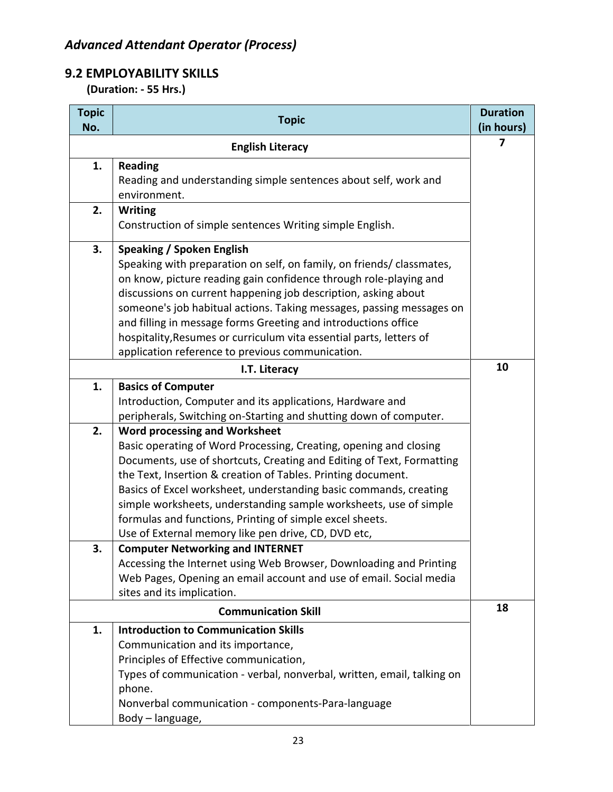## **9.2 EMPLOYABILITY SKILLS**

 **(Duration: - 55 Hrs.)**

| <b>Topic</b><br>No. | <b>Topic</b>                                                                                                                           | <b>Duration</b><br>(in hours) |
|---------------------|----------------------------------------------------------------------------------------------------------------------------------------|-------------------------------|
|                     | <b>English Literacy</b>                                                                                                                | 7                             |
| 1.                  | <b>Reading</b>                                                                                                                         |                               |
|                     | Reading and understanding simple sentences about self, work and                                                                        |                               |
| 2.                  | environment.                                                                                                                           |                               |
|                     | <b>Writing</b><br>Construction of simple sentences Writing simple English.                                                             |                               |
| 3.                  | <b>Speaking / Spoken English</b>                                                                                                       |                               |
|                     | Speaking with preparation on self, on family, on friends/ classmates,                                                                  |                               |
|                     | on know, picture reading gain confidence through role-playing and                                                                      |                               |
|                     | discussions on current happening job description, asking about                                                                         |                               |
|                     | someone's job habitual actions. Taking messages, passing messages on<br>and filling in message forms Greeting and introductions office |                               |
|                     | hospitality, Resumes or curriculum vita essential parts, letters of                                                                    |                               |
|                     | application reference to previous communication.                                                                                       |                               |
|                     | I.T. Literacy                                                                                                                          | 10                            |
| 1.                  | <b>Basics of Computer</b>                                                                                                              |                               |
|                     | Introduction, Computer and its applications, Hardware and                                                                              |                               |
|                     | peripherals, Switching on-Starting and shutting down of computer.                                                                      |                               |
| 2.                  | <b>Word processing and Worksheet</b>                                                                                                   |                               |
|                     | Basic operating of Word Processing, Creating, opening and closing                                                                      |                               |
|                     | Documents, use of shortcuts, Creating and Editing of Text, Formatting                                                                  |                               |
|                     | the Text, Insertion & creation of Tables. Printing document.                                                                           |                               |
|                     | Basics of Excel worksheet, understanding basic commands, creating                                                                      |                               |
|                     | simple worksheets, understanding sample worksheets, use of simple                                                                      |                               |
|                     | formulas and functions, Printing of simple excel sheets.                                                                               |                               |
|                     | Use of External memory like pen drive, CD, DVD etc,                                                                                    |                               |
| 3.                  | <b>Computer Networking and INTERNET</b><br>Accessing the Internet using Web Browser, Downloading and Printing                          |                               |
|                     | Web Pages, Opening an email account and use of email. Social media                                                                     |                               |
|                     | sites and its implication.                                                                                                             |                               |
|                     | <b>Communication Skill</b>                                                                                                             | 18                            |
| 1.                  | <b>Introduction to Communication Skills</b>                                                                                            |                               |
|                     | Communication and its importance,                                                                                                      |                               |
|                     | Principles of Effective communication,                                                                                                 |                               |
|                     | Types of communication - verbal, nonverbal, written, email, talking on                                                                 |                               |
|                     | phone.                                                                                                                                 |                               |
|                     | Nonverbal communication - components-Para-language                                                                                     |                               |
|                     | Body - language,                                                                                                                       |                               |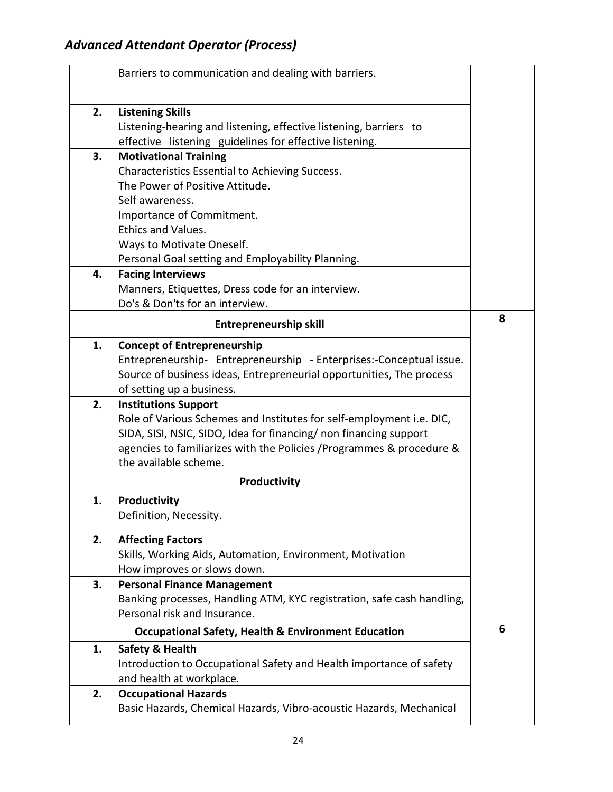|    | Barriers to communication and dealing with barriers.                   |   |
|----|------------------------------------------------------------------------|---|
| 2. | <b>Listening Skills</b>                                                |   |
|    | Listening-hearing and listening, effective listening, barriers to      |   |
|    | effective listening guidelines for effective listening.                |   |
| 3. | <b>Motivational Training</b>                                           |   |
|    | Characteristics Essential to Achieving Success.                        |   |
|    | The Power of Positive Attitude.                                        |   |
|    | Self awareness.                                                        |   |
|    | Importance of Commitment.                                              |   |
|    | <b>Ethics and Values.</b>                                              |   |
|    | Ways to Motivate Oneself.                                              |   |
|    | Personal Goal setting and Employability Planning.                      |   |
| 4. | <b>Facing Interviews</b>                                               |   |
|    | Manners, Etiquettes, Dress code for an interview.                      |   |
|    | Do's & Don'ts for an interview.                                        |   |
|    | <b>Entrepreneurship skill</b>                                          | 8 |
| 1. | <b>Concept of Entrepreneurship</b>                                     |   |
|    | Entrepreneurship- Entrepreneurship - Enterprises:-Conceptual issue.    |   |
|    | Source of business ideas, Entrepreneurial opportunities, The process   |   |
|    | of setting up a business.                                              |   |
| 2. | <b>Institutions Support</b>                                            |   |
|    | Role of Various Schemes and Institutes for self-employment i.e. DIC,   |   |
|    | SIDA, SISI, NSIC, SIDO, Idea for financing/ non financing support      |   |
|    | agencies to familiarizes with the Policies / Programmes & procedure &  |   |
|    | the available scheme.                                                  |   |
|    | Productivity                                                           |   |
| 1. | Productivity                                                           |   |
|    | Definition, Necessity.                                                 |   |
| 2. | <b>Affecting Factors</b>                                               |   |
|    | Skills, Working Aids, Automation, Environment, Motivation              |   |
|    | How improves or slows down.                                            |   |
| 3. | <b>Personal Finance Management</b>                                     |   |
|    | Banking processes, Handling ATM, KYC registration, safe cash handling, |   |
|    | Personal risk and Insurance.                                           |   |
|    | <b>Occupational Safety, Health &amp; Environment Education</b>         | 6 |
| 1. | Safety & Health                                                        |   |
|    | Introduction to Occupational Safety and Health importance of safety    |   |
|    | and health at workplace.                                               |   |
| 2. | <b>Occupational Hazards</b>                                            |   |
|    | Basic Hazards, Chemical Hazards, Vibro-acoustic Hazards, Mechanical    |   |
|    |                                                                        |   |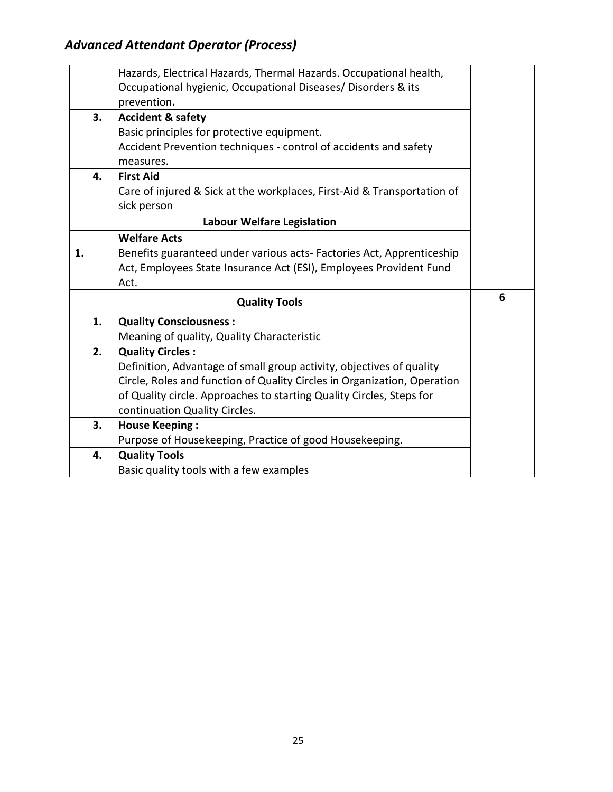|    | Hazards, Electrical Hazards, Thermal Hazards. Occupational health,       |   |
|----|--------------------------------------------------------------------------|---|
|    | Occupational hygienic, Occupational Diseases/ Disorders & its            |   |
|    | prevention.                                                              |   |
| 3. | <b>Accident &amp; safety</b>                                             |   |
|    | Basic principles for protective equipment.                               |   |
|    | Accident Prevention techniques - control of accidents and safety         |   |
|    | measures.                                                                |   |
| 4. | <b>First Aid</b>                                                         |   |
|    | Care of injured & Sick at the workplaces, First-Aid & Transportation of  |   |
|    | sick person                                                              |   |
|    | <b>Labour Welfare Legislation</b>                                        |   |
|    | <b>Welfare Acts</b>                                                      |   |
| 1. | Benefits guaranteed under various acts-Factories Act, Apprenticeship     |   |
|    | Act, Employees State Insurance Act (ESI), Employees Provident Fund       |   |
|    | Act.                                                                     |   |
|    | <b>Quality Tools</b>                                                     | 6 |
| 1. | <b>Quality Consciousness:</b>                                            |   |
|    | Meaning of quality, Quality Characteristic                               |   |
| 2. | <b>Quality Circles:</b>                                                  |   |
|    | Definition, Advantage of small group activity, objectives of quality     |   |
|    | Circle, Roles and function of Quality Circles in Organization, Operation |   |
|    | of Quality circle. Approaches to starting Quality Circles, Steps for     |   |
|    | continuation Quality Circles.                                            |   |
| 3. | <b>House Keeping:</b>                                                    |   |
|    | Purpose of Housekeeping, Practice of good Housekeeping.                  |   |
| 4. | <b>Quality Tools</b>                                                     |   |
|    | Basic quality tools with a few examples                                  |   |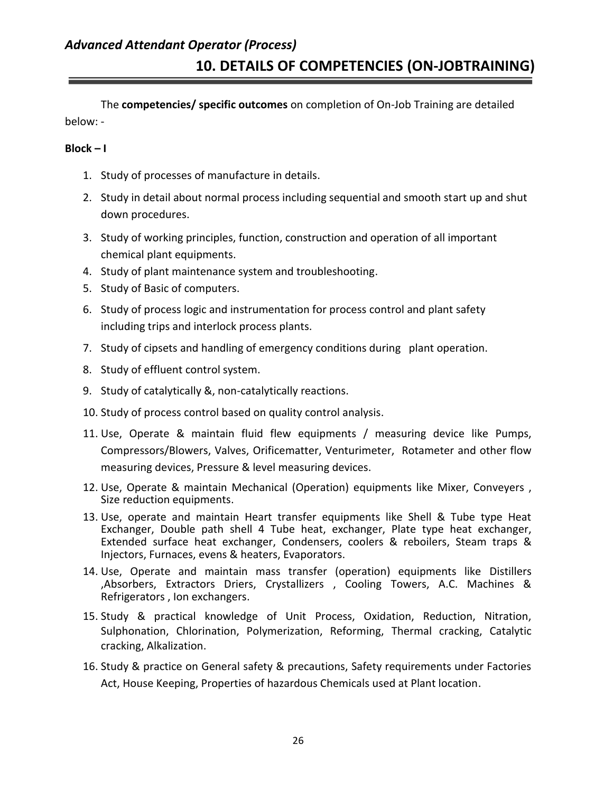## *Advanced Attendant Operator (Process)* **10. DETAILS OF COMPETENCIES (ON-JOBTRAINING)**

The **competencies/ specific outcomes** on completion of On-Job Training are detailed below: -

#### **Block – I**

- 1. Study of processes of manufacture in details.
- 2. Study in detail about normal process including sequential and smooth start up and shut down procedures.
- 3. Study of working principles, function, construction and operation of all important chemical plant equipments.
- 4. Study of plant maintenance system and troubleshooting.
- 5. Study of Basic of computers.
- 6. Study of process logic and instrumentation for process control and plant safety including trips and interlock process plants.
- 7. Study of cipsets and handling of emergency conditions during plant operation.
- 8. Study of effluent control system.
- 9. Study of catalytically &, non-catalytically reactions.
- 10. Study of process control based on quality control analysis.
- 11. Use, Operate & maintain fluid flew equipments / measuring device like Pumps, Compressors/Blowers, Valves, Orificematter, Venturimeter, Rotameter and other flow measuring devices, Pressure & level measuring devices.
- 12. Use, Operate & maintain Mechanical (Operation) equipments like Mixer, Conveyers , Size reduction equipments.
- 13. Use, operate and maintain Heart transfer equipments like Shell & Tube type Heat Exchanger, Double path shell 4 Tube heat, exchanger, Plate type heat exchanger, Extended surface heat exchanger, Condensers, coolers & reboilers, Steam traps & Injectors, Furnaces, evens & heaters, Evaporators.
- 14. Use, Operate and maintain mass transfer (operation) equipments like Distillers ,Absorbers, Extractors Driers, Crystallizers , Cooling Towers, A.C. Machines & Refrigerators , Ion exchangers.
- 15. Study & practical knowledge of Unit Process, Oxidation, Reduction, Nitration, Sulphonation, Chlorination, Polymerization, Reforming, Thermal cracking, Catalytic cracking, Alkalization.
- 16. Study & practice on General safety & precautions, Safety requirements under Factories Act, House Keeping, Properties of hazardous Chemicals used at Plant location.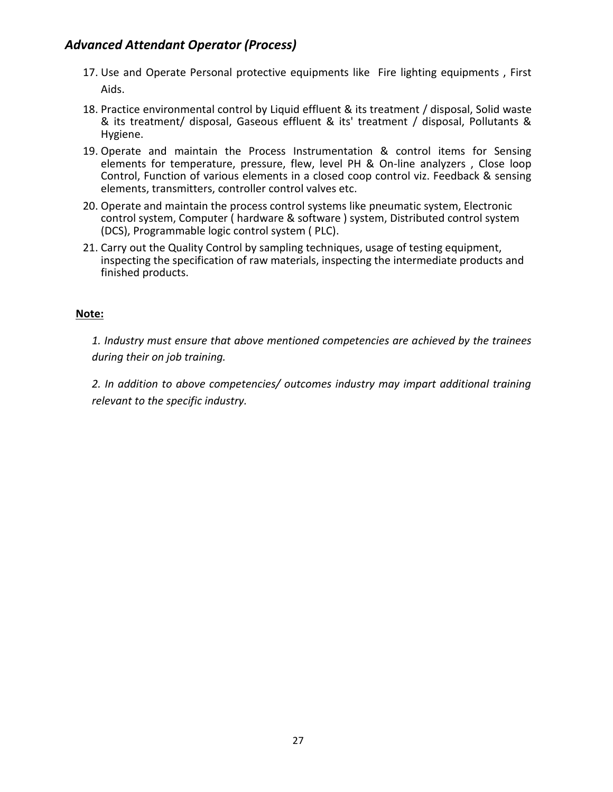- 17. Use and Operate Personal protective equipments like Fire lighting equipments , First Aids.
- 18. Practice environmental control by Liquid effluent & its treatment / disposal, Solid waste & its treatment/ disposal, Gaseous effluent & its' treatment / disposal, Pollutants & Hygiene.
- 19. Operate and maintain the Process Instrumentation & control items for Sensing elements for temperature, pressure, flew, level PH & On-line analyzers , Close loop Control, Function of various elements in a closed coop control viz. Feedback & sensing elements, transmitters, controller control valves etc.
- 20. Operate and maintain the process control systems like pneumatic system, Electronic control system, Computer ( hardware & software ) system, Distributed control system (DCS), Programmable logic control system ( PLC).
- 21. Carry out the Quality Control by sampling techniques, usage of testing equipment, inspecting the specification of raw materials, inspecting the intermediate products and finished products.

#### **Note:**

*1. Industry must ensure that above mentioned competencies are achieved by the trainees during their on job training.*

*2. In addition to above competencies/ outcomes industry may impart additional training relevant to the specific industry.*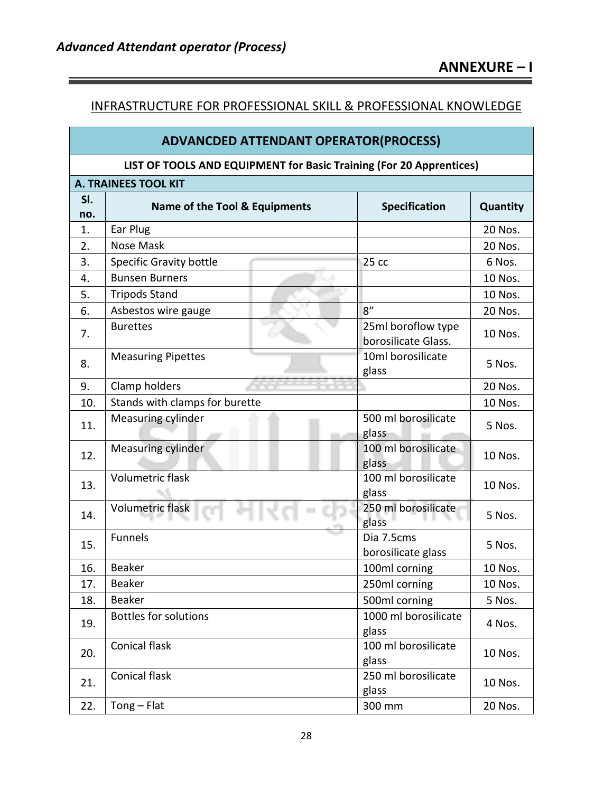#### INFRASTRUCTURE FOR PROFESSIONAL SKILL & PROFESSIONAL KNOWLEDGE

| <b>ADVANCDED ATTENDANT OPERATOR(PROCESS)</b> |                                                                     |                                           |          |  |  |
|----------------------------------------------|---------------------------------------------------------------------|-------------------------------------------|----------|--|--|
|                                              | LIST OF TOOLS AND EQUIPMENT for Basic Training (For 20 Apprentices) |                                           |          |  |  |
|                                              | <b>A. TRAINEES TOOL KIT</b>                                         |                                           |          |  |  |
| SI.                                          | Name of the Tool & Equipments                                       | <b>Specification</b>                      | Quantity |  |  |
| no.<br>1.                                    | Ear Plug                                                            |                                           | 20 Nos.  |  |  |
| 2.                                           | <b>Nose Mask</b>                                                    |                                           | 20 Nos.  |  |  |
| 3.                                           | Specific Gravity bottle                                             | 25cc                                      | 6 Nos.   |  |  |
| 4.                                           | <b>Bunsen Burners</b>                                               |                                           | 10 Nos.  |  |  |
| 5.                                           | <b>Tripods Stand</b>                                                |                                           | 10 Nos.  |  |  |
| 6.                                           | Asbestos wire gauge                                                 | 8''                                       | 20 Nos.  |  |  |
| 7.                                           | <b>Burettes</b>                                                     | 25ml boroflow type<br>borosilicate Glass. | 10 Nos.  |  |  |
| 8.                                           | <b>Measuring Pipettes</b>                                           | 10ml borosilicate<br>glass                | 5 Nos.   |  |  |
| 9.                                           | Clamp holders                                                       |                                           | 20 Nos.  |  |  |
| 10.                                          | Stands with clamps for burette                                      |                                           | 10 Nos.  |  |  |
| 11.                                          | Measuring cylinder                                                  | 500 ml borosilicate<br>glass              | 5 Nos.   |  |  |
| 12.                                          | <b>Measuring cylinder</b>                                           | 100 ml borosilicate<br>glass              | 10 Nos.  |  |  |
| 13.                                          | <b>Volumetric flask</b>                                             | 100 ml borosilicate<br>glass              | 10 Nos.  |  |  |
| 14.                                          | Volumetric flask                                                    | 250 ml borosilicate<br>glass              | 5 Nos.   |  |  |
| 15.                                          | <b>Funnels</b>                                                      | Dia 7.5cms<br>borosilicate glass          | 5 Nos.   |  |  |
| 16.                                          | <b>Beaker</b>                                                       | 100ml corning                             | 10 Nos.  |  |  |
| 17.                                          | Beaker                                                              | 250ml corning                             | 10 Nos.  |  |  |
| 18.                                          | <b>Beaker</b>                                                       | 500ml corning                             | 5 Nos.   |  |  |
| 19.                                          | <b>Bottles for solutions</b>                                        | 1000 ml borosilicate<br>glass             | 4 Nos.   |  |  |
| 20.                                          | Conical flask                                                       | 100 ml borosilicate<br>glass              | 10 Nos.  |  |  |
| 21.                                          | <b>Conical flask</b>                                                | 250 ml borosilicate<br>glass              | 10 Nos.  |  |  |

22. Tong – Flat 300 mm 20 Nos.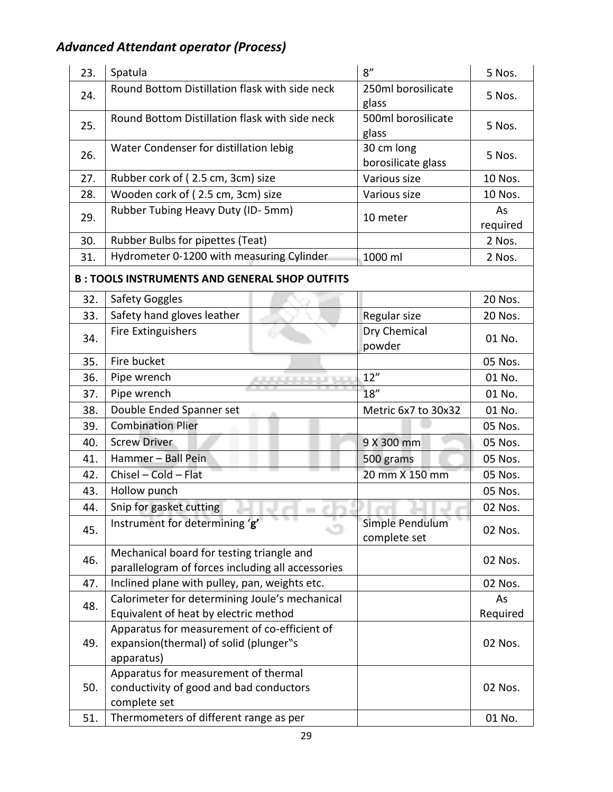| 23. | Spatula                                                                                              | 8''                              | 5 Nos.         |
|-----|------------------------------------------------------------------------------------------------------|----------------------------------|----------------|
| 24. | Round Bottom Distillation flask with side neck                                                       | 250ml borosilicate<br>glass      | 5 Nos.         |
| 25. | Round Bottom Distillation flask with side neck                                                       | 500ml borosilicate<br>glass      | 5 Nos.         |
| 26. | Water Condenser for distillation lebig                                                               | 30 cm long<br>borosilicate glass | 5 Nos.         |
| 27. | Rubber cork of (2.5 cm, 3cm) size                                                                    | Various size                     | 10 Nos.        |
| 28. | Wooden cork of (2.5 cm, 3cm) size                                                                    | Various size                     | 10 Nos.        |
| 29. | Rubber Tubing Heavy Duty (ID-5mm)                                                                    | 10 meter                         | As<br>required |
| 30. | Rubber Bulbs for pipettes (Teat)                                                                     |                                  | 2 Nos.         |
| 31. | Hydrometer 0-1200 with measuring Cylinder                                                            | 1000 ml                          | 2 Nos.         |
|     | <b>B: TOOLS INSTRUMENTS AND GENERAL SHOP OUTFITS</b>                                                 |                                  |                |
| 32. | Safety Goggles                                                                                       |                                  | 20 Nos.        |
| 33. | Safety hand gloves leather                                                                           | Regular size                     | 20 Nos.        |
| 34. | Fire Extinguishers                                                                                   | Dry Chemical<br>powder           | 01 No.         |
| 35. | Fire bucket                                                                                          |                                  | 05 Nos.        |
| 36. | Pipe wrench                                                                                          | 12"                              | 01 No.         |
| 37. | Pipe wrench                                                                                          | 18''                             | 01 No.         |
| 38. | Double Ended Spanner set                                                                             | Metric 6x7 to 30x32              | 01 No.         |
| 39. | <b>Combination Plier</b>                                                                             |                                  | 05 Nos.        |
| 40. | <b>Screw Driver</b>                                                                                  | 9 X 300 mm                       | 05 Nos.        |
| 41. | Hammer - Ball Pein                                                                                   | 500 grams                        | 05 Nos.        |
| 42. | Chisel - Cold - Flat                                                                                 | 20 mm X 150 mm                   | 05 Nos.        |
| 43. | Hollow punch                                                                                         |                                  | 05 Nos.        |
| 44. | Snip for gasket cutting                                                                              |                                  | 02 Nos.        |
| 45. | Instrument for determining 'g'                                                                       | Simple Pendulum<br>complete set  | 02 Nos.        |
| 46. | Mechanical board for testing triangle and<br>parallelogram of forces including all accessories       |                                  | 02 Nos.        |
| 47. | Inclined plane with pulley, pan, weights etc.                                                        |                                  | 02 Nos.        |
| 48. | Calorimeter for determining Joule's mechanical                                                       |                                  | As             |
|     | Equivalent of heat by electric method                                                                |                                  | Required       |
| 49. | Apparatus for measurement of co-efficient of<br>expansion(thermal) of solid (plunger"s<br>apparatus) |                                  | 02 Nos.        |
| 50. | Apparatus for measurement of thermal<br>conductivity of good and bad conductors<br>complete set      |                                  | 02 Nos.        |
| 51. | Thermometers of different range as per                                                               |                                  | 01 No.         |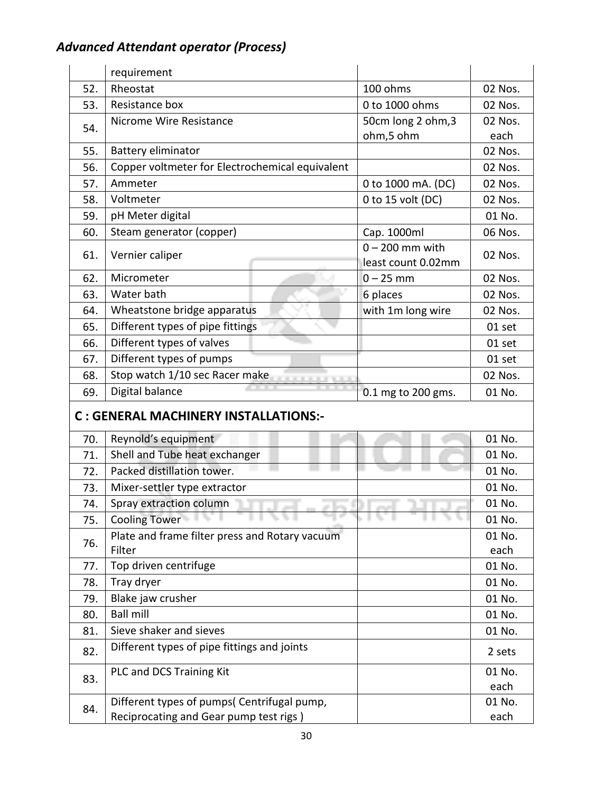|     | requirement                                     |                    |                |
|-----|-------------------------------------------------|--------------------|----------------|
| 52. | Rheostat                                        | 100 ohms           | 02 Nos.        |
| 53. | Resistance box                                  | 0 to 1000 ohms     | 02 Nos.        |
| 54. | Nicrome Wire Resistance                         | 50cm long 2 ohm, 3 | 02 Nos.        |
|     |                                                 | ohm,5 ohm          | each           |
| 55. | Battery eliminator                              |                    | 02 Nos.        |
| 56. | Copper voltmeter for Electrochemical equivalent |                    | 02 Nos.        |
| 57. | Ammeter                                         | 0 to 1000 mA. (DC) | 02 Nos.        |
| 58. | Voltmeter                                       | 0 to 15 volt (DC)  | 02 Nos.        |
| 59. | pH Meter digital                                |                    | 01 No.         |
| 60. | Steam generator (copper)                        | Cap. 1000ml        | 06 Nos.        |
| 61. | Vernier caliper                                 | $0 - 200$ mm with  | 02 Nos.        |
|     |                                                 | least count 0.02mm |                |
| 62. | Micrometer                                      | $0 - 25$ mm        | 02 Nos.        |
| 63. | Water bath                                      | 6 places           | 02 Nos.        |
| 64. | Wheatstone bridge apparatus                     | with 1m long wire  | 02 Nos.        |
| 65. | Different types of pipe fittings                |                    | 01 set         |
| 66. | Different types of valves                       |                    | 01 set         |
| 67. | Different types of pumps                        |                    | 01 set         |
| 68. | Stop watch 1/10 sec Racer make                  |                    | 02 Nos.        |
| 69. | Digital balance                                 | 0.1 mg to 200 gms. | 01 No.         |
|     | C : GENERAL MACHINERY INSTALLATIONS:-           |                    |                |
| 70. | Reynold's equipment                             |                    | 01 No.         |
| 71. | Shell and Tube heat exchanger                   |                    | 01 No.         |
| 72. | Packed distillation tower.                      |                    | 01 No.         |
| 73. | Mixer-settler type extractor                    |                    | 01 No.         |
| 74. |                                                 |                    |                |
|     | Spray extraction column                         |                    | 01 No.         |
| 75. | <b>Cooling Tower</b>                            |                    | 01 No.         |
|     | Plate and frame filter press and Rotary vacuum  |                    | 01 No.         |
| 76. | Filter                                          |                    | each           |
| 77. | Top driven centrifuge                           |                    | 01 No.         |
| 78. | Tray dryer                                      |                    | 01 No.         |
| 79. | Blake jaw crusher                               |                    | 01 No.         |
| 80. | <b>Ball mill</b>                                |                    | 01 No.         |
| 81. | Sieve shaker and sieves                         |                    | 01 No.         |
| 82. | Different types of pipe fittings and joints     |                    | 2 sets         |
|     | PLC and DCS Training Kit                        |                    | 01 No.         |
| 83. | Different types of pumps( Centrifugal pump,     |                    | each<br>01 No. |

each

Reciprocating and Gear pump test rigs )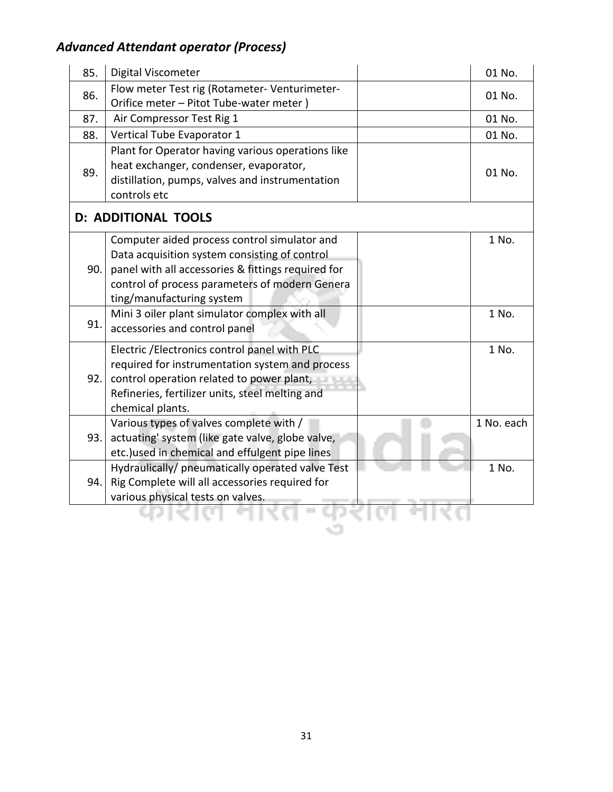| 85. | Digital Viscometer                                 | 01 No.     |
|-----|----------------------------------------------------|------------|
|     | Flow meter Test rig (Rotameter- Venturimeter-      |            |
| 86. | Orifice meter - Pitot Tube-water meter)            | 01 No.     |
| 87. | Air Compressor Test Rig 1                          | 01 No.     |
| 88. | Vertical Tube Evaporator 1                         | 01 No.     |
| 89. | Plant for Operator having various operations like  |            |
|     | heat exchanger, condenser, evaporator,             | 01 No.     |
|     | distillation, pumps, valves and instrumentation    |            |
|     | controls etc                                       |            |
|     | <b>D: ADDITIONAL TOOLS</b>                         |            |
|     | Computer aided process control simulator and       | 1 No.      |
|     | Data acquisition system consisting of control      |            |
| 90. | panel with all accessories & fittings required for |            |
|     | control of process parameters of modern Genera     |            |
|     | ting/manufacturing system                          |            |
| 91. | Mini 3 oiler plant simulator complex with all      | 1 No.      |
|     | accessories and control panel                      |            |
|     | Electric / Electronics control panel with PLC      | 1 No.      |
|     | required for instrumentation system and process    |            |
| 92. | control operation related to power plant,          |            |
|     | Refineries, fertilizer units, steel melting and    |            |
|     | chemical plants.                                   |            |
|     | Various types of valves complete with /            | 1 No. each |
| 93. | actuating' system (like gate valve, globe valve,   |            |
|     | etc.) used in chemical and effulgent pipe lines    |            |
|     | Hydraulically/ pneumatically operated valve Test   | 1 No.      |
| 94. | Rig Complete will all accessories required for     |            |
|     | various physical tests on valves.                  |            |
|     |                                                    |            |
|     |                                                    |            |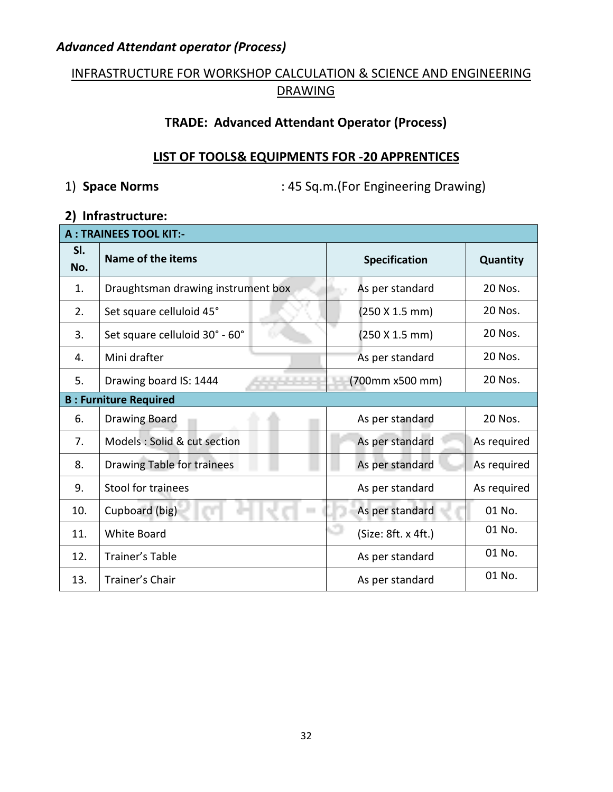#### INFRASTRUCTURE FOR WORKSHOP CALCULATION & SCIENCE AND ENGINEERING **DRAWING**

#### **TRADE: Advanced Attendant Operator (Process)**

#### **LIST OF TOOLS& EQUIPMENTS FOR -20 APPRENTICES**

1) **Space Norms** : 45 Sq.m.(For Engineering Drawing)

#### **2) Infrastructure:**

| <b>A: TRAINEES TOOL KIT:-</b> |                                            |                      |                 |  |  |
|-------------------------------|--------------------------------------------|----------------------|-----------------|--|--|
| SI.<br>No.                    | Name of the items                          | <b>Specification</b> | <b>Quantity</b> |  |  |
| 1.                            | Draughtsman drawing instrument box         | As per standard      | 20 Nos.         |  |  |
| 2.                            | Set square celluloid 45°                   | (250 X 1.5 mm)       | 20 Nos.         |  |  |
| 3.                            | Set square celluloid 30° - 60°             | (250 X 1.5 mm)       | 20 Nos.         |  |  |
| 4.                            | Mini drafter                               | As per standard      | 20 Nos.         |  |  |
| 5.                            | Drawing board IS: 1444                     | (700mm x500 mm)      | 20 Nos.         |  |  |
| <b>B: Furniture Required</b>  |                                            |                      |                 |  |  |
| 6.                            | <b>Drawing Board</b>                       | As per standard      | 20 Nos.         |  |  |
| 7.                            | Models : Solid & cut section               | As per standard      | As required     |  |  |
| 8.                            | Drawing Table for trainees                 | As per standard      | As required     |  |  |
| 9.                            | Stool for trainees                         | As per standard      | As required     |  |  |
| 10.                           | Cupboard (big)<br>$\overline{\phantom{a}}$ | As per standard      | 01 No.          |  |  |
| 11.                           | <b>White Board</b>                         | (Size: 8ft. x 4ft.)  | 01 No.          |  |  |
| 12.                           | Trainer's Table                            | As per standard      | 01 No.          |  |  |
| 13.                           | Trainer's Chair                            | As per standard      | 01 No.          |  |  |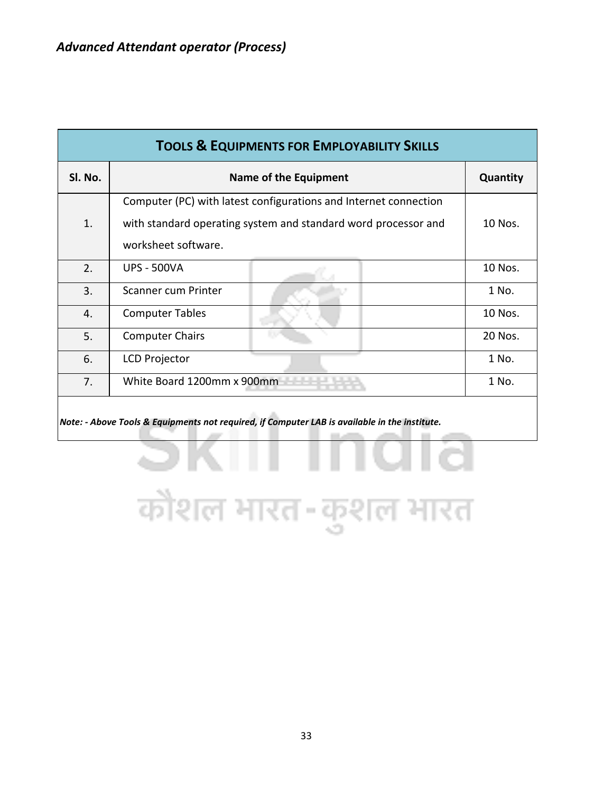| SI. No. | Name of the Equipment                                            |  | Quantity |
|---------|------------------------------------------------------------------|--|----------|
|         | Computer (PC) with latest configurations and Internet connection |  |          |
| 1.      | with standard operating system and standard word processor and   |  | 10 Nos.  |
|         | worksheet software.                                              |  |          |
| 2.      | <b>UPS - 500VA</b>                                               |  | 10 Nos.  |
| 3.      | Scanner cum Printer                                              |  | 1 No.    |
| 4.      | <b>Computer Tables</b>                                           |  | 10 Nos.  |
| 5.      | <b>Computer Chairs</b>                                           |  | 20 Nos.  |
| 6.      | <b>LCD Projector</b>                                             |  | 1 No.    |
| 7.      | White Board 1200mm x 900mm                                       |  | 1 No.    |

**CONTRACTOR** 

33

कौशल भारत-कुशल भारत